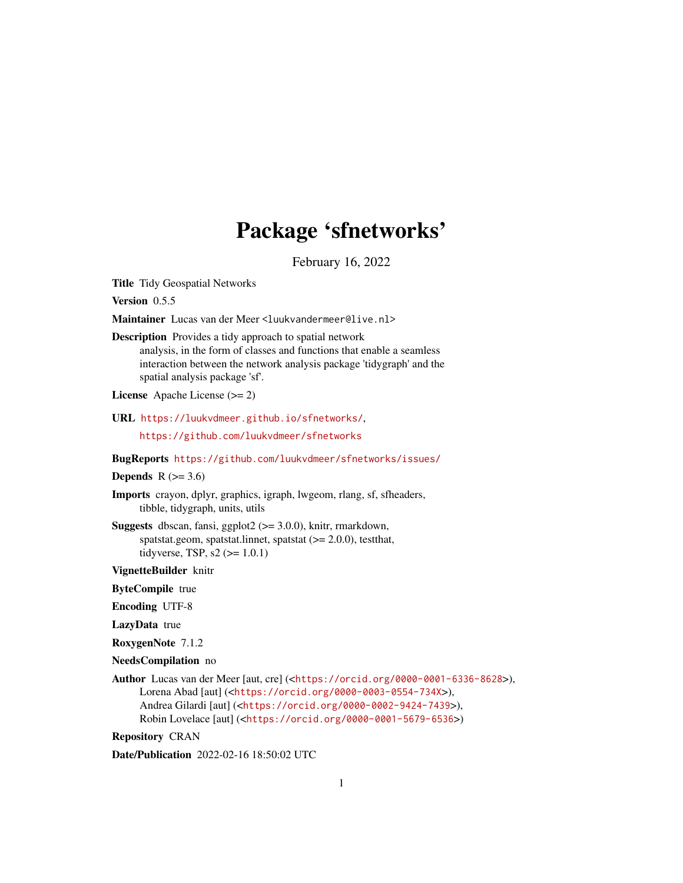# Package 'sfnetworks'

February 16, 2022

<span id="page-0-0"></span>Title Tidy Geospatial Networks

Version 0.5.5

Maintainer Lucas van der Meer <luukvandermeer@live.nl>

Description Provides a tidy approach to spatial network

analysis, in the form of classes and functions that enable a seamless interaction between the network analysis package 'tidygraph' and the spatial analysis package 'sf'.

License Apache License (>= 2)

URL <https://luukvdmeer.github.io/sfnetworks/>,

<https://github.com/luukvdmeer/sfnetworks>

BugReports <https://github.com/luukvdmeer/sfnetworks/issues/>

#### Depends  $R$  ( $>= 3.6$ )

Imports crayon, dplyr, graphics, igraph, lwgeom, rlang, sf, sfheaders, tibble, tidygraph, units, utils

Suggests dbscan, fansi, ggplot2 (>= 3.0.0), knitr, rmarkdown, spatstat.geom, spatstat.linnet, spatstat (>= 2.0.0), testthat, tidyverse, TSP,  $s2 \approx 1.0.1$ 

VignetteBuilder knitr

ByteCompile true

Encoding UTF-8

LazyData true

RoxygenNote 7.1.2

```
NeedsCompilation no
```
Author Lucas van der Meer [aut, cre] (<<https://orcid.org/0000-0001-6336-8628>>), Lorena Abad [aut] (<<https://orcid.org/0000-0003-0554-734X>>), Andrea Gilardi [aut] (<<https://orcid.org/0000-0002-9424-7439>>), Robin Lovelace [aut] (<<https://orcid.org/0000-0001-5679-6536>>)

Repository CRAN

Date/Publication 2022-02-16 18:50:02 UTC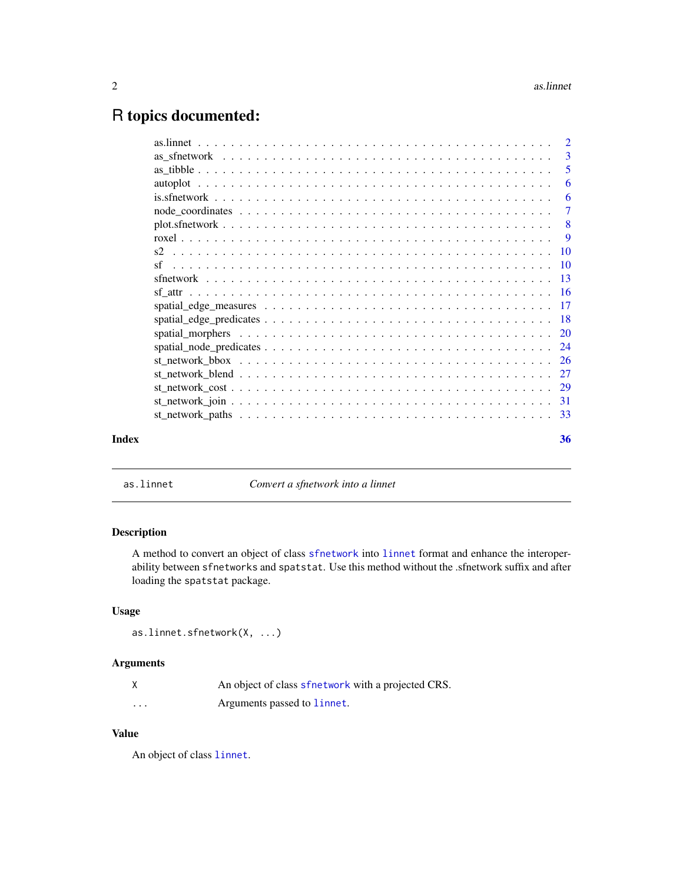## <span id="page-1-0"></span>R topics documented:

|       |                                                                                                                        | $\overline{2}$ |
|-------|------------------------------------------------------------------------------------------------------------------------|----------------|
|       |                                                                                                                        | -3             |
|       |                                                                                                                        |                |
|       |                                                                                                                        | 6              |
|       |                                                                                                                        | -6             |
|       |                                                                                                                        | $\overline{7}$ |
|       | $plot.sfnetwork \dots \dots \dots \dots \dots \dots \dots \dots \dots \dots \dots \dots \dots \dots \dots \dots \dots$ |                |
|       |                                                                                                                        |                |
|       |                                                                                                                        |                |
|       |                                                                                                                        |                |
|       |                                                                                                                        |                |
|       |                                                                                                                        |                |
|       |                                                                                                                        |                |
|       |                                                                                                                        |                |
|       |                                                                                                                        |                |
|       |                                                                                                                        |                |
|       |                                                                                                                        |                |
|       |                                                                                                                        |                |
|       |                                                                                                                        |                |
|       |                                                                                                                        |                |
|       |                                                                                                                        |                |
| Index |                                                                                                                        | 36             |

as.linnet *Convert a sfnetwork into a linnet*

#### Description

A method to convert an object of class [sfnetwork](#page-12-1) into [linnet](#page-0-0) format and enhance the interoperability between sfnetworks and spatstat. Use this method without the .sfnetwork suffix and after loading the spatstat package.

#### Usage

```
as.linnet.sfnetwork(X, ...)
```
#### Arguments

|          | An object of class sfnetwork with a projected CRS. |
|----------|----------------------------------------------------|
| $\cdots$ | Arguments passed to linnet.                        |

#### Value

An object of class [linnet](#page-0-0).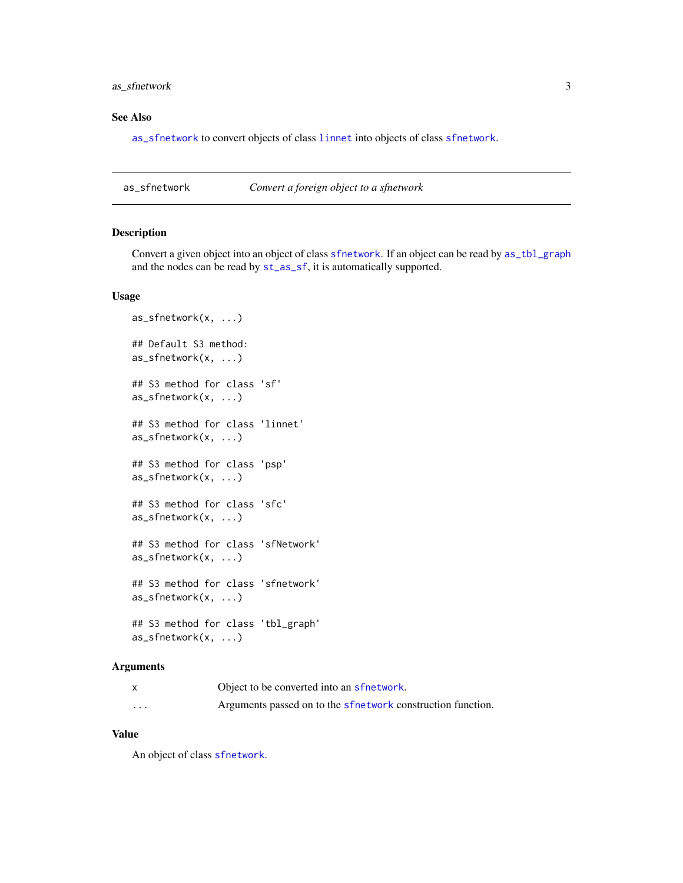#### <span id="page-2-0"></span>as\_sfnetwork 3

#### See Also

[as\\_sfnetwork](#page-2-1) to convert objects of class [linnet](#page-0-0) into objects of class [sfnetwork](#page-12-1).

<span id="page-2-1"></span>as\_sfnetwork *Convert a foreign object to a sfnetwork*

#### Description

Convert a given object into an object of class [sfnetwork](#page-12-1). If an object can be read by [as\\_tbl\\_graph](#page-0-0) and the nodes can be read by [st\\_as\\_sf](#page-0-0), it is automatically supported.

#### Usage

```
as_sfnetwork(x, ...)
## Default S3 method:
as_sfnetwork(x, ...)
## S3 method for class 'sf'
as_sfnetwork(x, ...)
## S3 method for class 'linnet'
as_sfnetwork(x, ...)
## S3 method for class 'psp'
as_sfnetwork(x, ...)
## S3 method for class 'sfc'
as_sfnetwork(x, ...)
## S3 method for class 'sfNetwork'
as_sfnetwork(x, ...)
## S3 method for class 'sfnetwork'
as_sfnetwork(x, ...)
## S3 method for class 'tbl_graph'
as_sfnetwork(x, ...)
```
#### Arguments

|          | Object to be converted into an sfretwork.                   |
|----------|-------------------------------------------------------------|
| $\cdots$ | Arguments passed on to the sfnetwork construction function. |

#### Value

An object of class [sfnetwork](#page-12-1).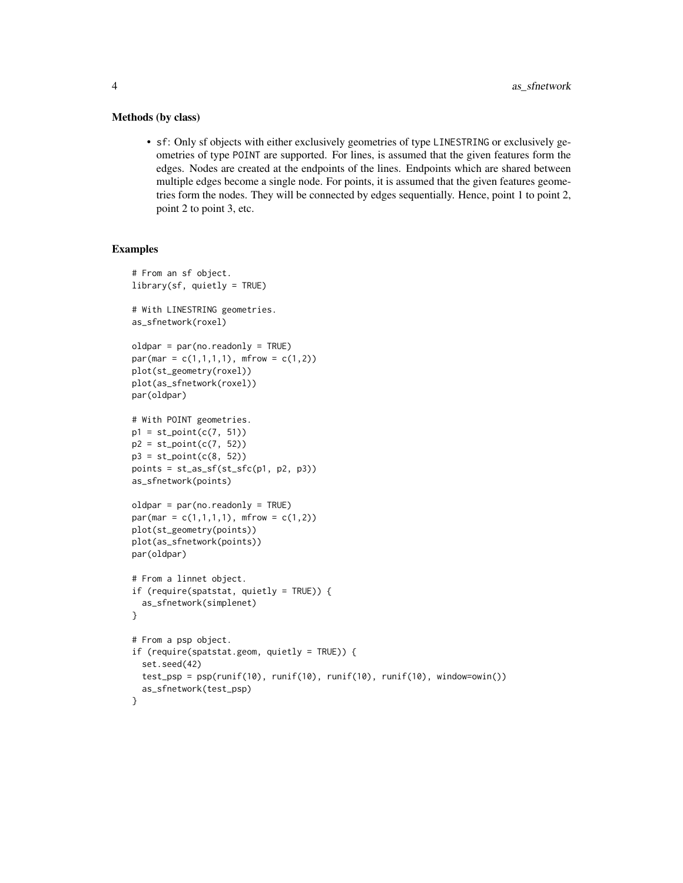#### Methods (by class)

• sf: Only sf objects with either exclusively geometries of type LINESTRING or exclusively geometries of type POINT are supported. For lines, is assumed that the given features form the edges. Nodes are created at the endpoints of the lines. Endpoints which are shared between multiple edges become a single node. For points, it is assumed that the given features geometries form the nodes. They will be connected by edges sequentially. Hence, point 1 to point 2, point 2 to point 3, etc.

```
# From an sf object.
library(sf, quietly = TRUE)
# With LINESTRING geometries.
as_sfnetwork(roxel)
oldpar = par(no.readonly = TRUE)
par(max = c(1,1,1,1), mfrom = c(1,2))plot(st_geometry(roxel))
plot(as_sfnetwork(roxel))
par(oldpar)
# With POINT geometries.
p1 = st\_point(c(7, 51))p2 = st\_point(c(7, 52))p3 = st\_point(c(8, 52))points = st_as_sf(st_sfc(p1, p2, p3))
as_sfnetwork(points)
oldpar = par(no.readonly = TRUE)
par(max = c(1,1,1,1), mfrom = c(1,2))plot(st_geometry(points))
plot(as_sfnetwork(points))
par(oldpar)
# From a linnet object.
if (require(spatstat, quietly = TRUE)) {
  as_sfnetwork(simplenet)
}
# From a psp object.
if (require(spatstat.geom, quietly = TRUE)) {
  set.seed(42)
  test_psp = psp(runif(10), runif(10), runif(10), runif(10), window=owin())
  as_sfnetwork(test_psp)
}
```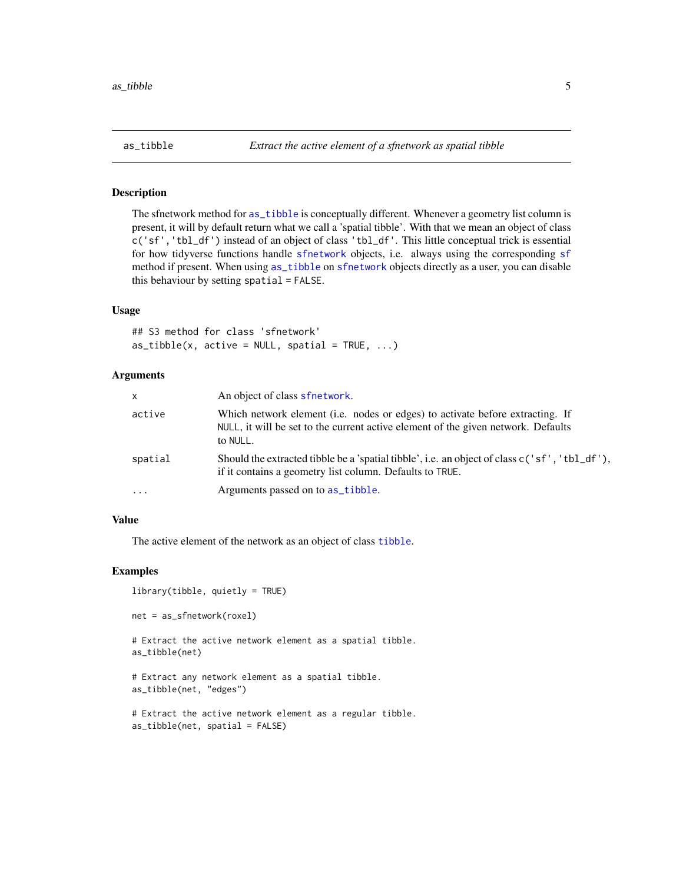<span id="page-4-1"></span><span id="page-4-0"></span>The sfnetwork method for [as\\_tibble](#page-4-1) is conceptually different. Whenever a geometry list column is present, it will by default return what we call a 'spatial tibble'. With that we mean an object of class c('sf','tbl\_df') instead of an object of class 'tbl\_df'. This little conceptual trick is essential for how tidyverse functions handle [sfnetwork](#page-12-1) objects, i.e. always using the corresponding [sf](#page-9-1) method if present. When using [as\\_tibble](#page-4-1) on [sfnetwork](#page-12-1) objects directly as a user, you can disable this behaviour by setting spatial = FALSE.

#### Usage

## S3 method for class 'sfnetwork'  $as\_tibble(x, active = NULL, spatial = TRUE, ...)$ 

#### Arguments

| X          | An object of class sfnetwork.                                                                                                                                                          |
|------------|----------------------------------------------------------------------------------------------------------------------------------------------------------------------------------------|
| active     | Which network element ( <i>i.e.</i> nodes or edges) to activate before extracting. If<br>NULL, it will be set to the current active element of the given network. Defaults<br>to NULL. |
| spatial    | Should the extracted tibble be a 'spatial tibble', i.e. an object of class $c('sf', 'thl_dft'),$<br>if it contains a geometry list column. Defaults to TRUE.                           |
| $\ddots$ . | Arguments passed on to as_tibble.                                                                                                                                                      |

#### Value

The active element of the network as an object of class [tibble](#page-0-0).

#### Examples

```
library(tibble, quietly = TRUE)
```

```
net = as_sfnetwork(roxel)
```
# Extract the active network element as a spatial tibble. as\_tibble(net)

```
# Extract any network element as a spatial tibble.
as_tibble(net, "edges")
```

```
# Extract the active network element as a regular tibble.
as_tibble(net, spatial = FALSE)
```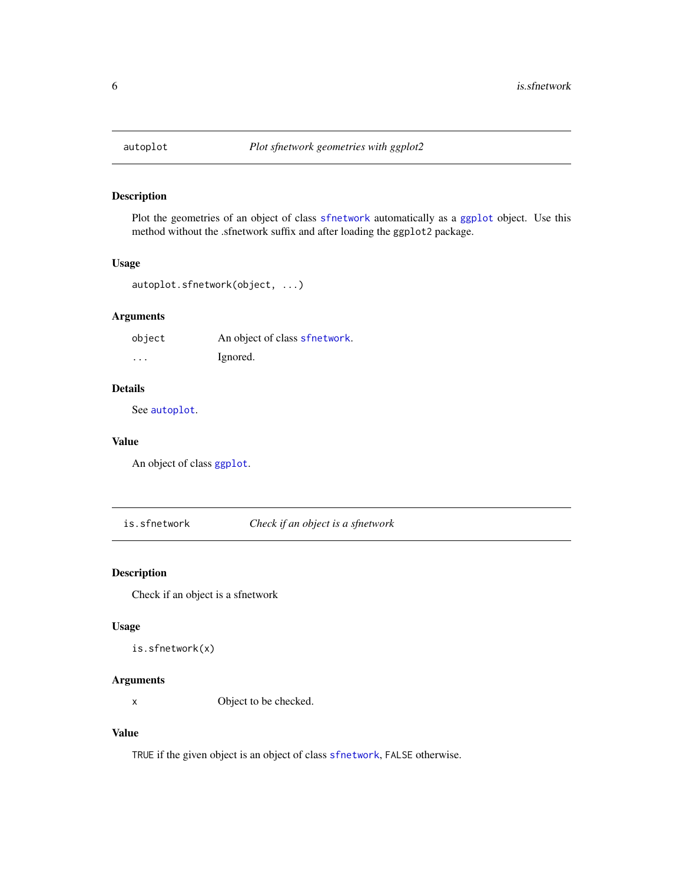<span id="page-5-1"></span><span id="page-5-0"></span>

Plot the geometries of an object of class [sfnetwork](#page-12-1) automatically as a [ggplot](#page-0-0) object. Use this method without the .sfnetwork suffix and after loading the ggplot2 package.

#### Usage

```
autoplot.sfnetwork(object, ...)
```
#### Arguments

| object   | An object of class sfnetwork. |
|----------|-------------------------------|
| $\cdots$ | Ignored.                      |

#### Details

See [autoplot](#page-5-1).

#### Value

An object of class [ggplot](#page-0-0).

is.sfnetwork *Check if an object is a sfnetwork*

#### Description

Check if an object is a sfnetwork

#### Usage

```
is.sfnetwork(x)
```
#### Arguments

x Object to be checked.

#### Value

TRUE if the given object is an object of class [sfnetwork](#page-12-1), FALSE otherwise.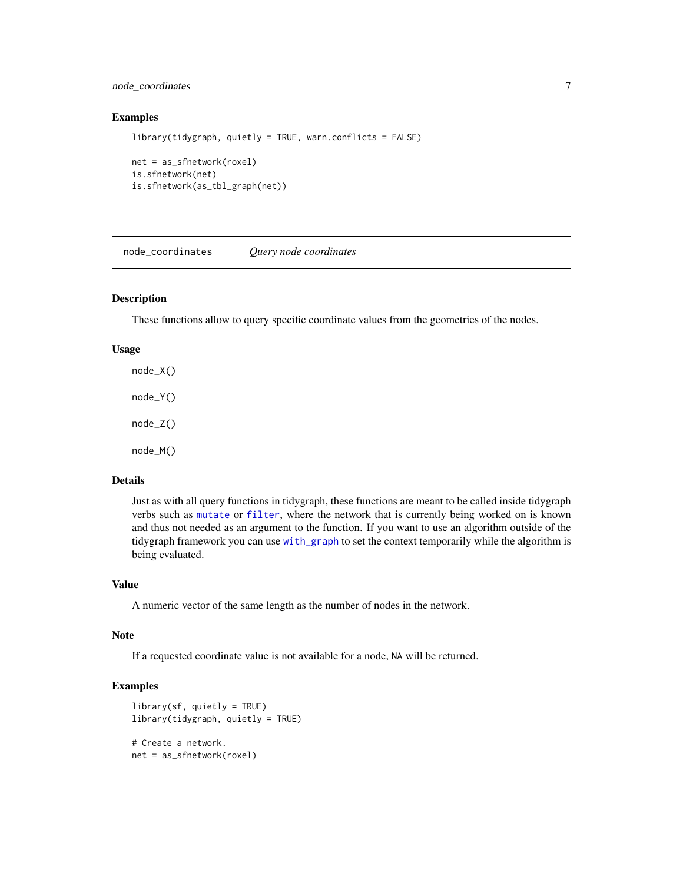#### <span id="page-6-0"></span>node\_coordinates 7

#### Examples

```
library(tidygraph, quietly = TRUE, warn.conflicts = FALSE)
net = as_sfnetwork(roxel)
is.sfnetwork(net)
is.sfnetwork(as_tbl_graph(net))
```
node\_coordinates *Query node coordinates*

#### Description

These functions allow to query specific coordinate values from the geometries of the nodes.

#### Usage

node\_X() node\_Y() node\_Z() node\_M()

#### Details

Just as with all query functions in tidygraph, these functions are meant to be called inside tidygraph verbs such as [mutate](#page-0-0) or [filter](#page-0-0), where the network that is currently being worked on is known and thus not needed as an argument to the function. If you want to use an algorithm outside of the tidygraph framework you can use [with\\_graph](#page-0-0) to set the context temporarily while the algorithm is being evaluated.

#### Value

A numeric vector of the same length as the number of nodes in the network.

#### Note

If a requested coordinate value is not available for a node, NA will be returned.

```
library(sf, quietly = TRUE)
library(tidygraph, quietly = TRUE)
# Create a network.
net = as_sfnetwork(roxel)
```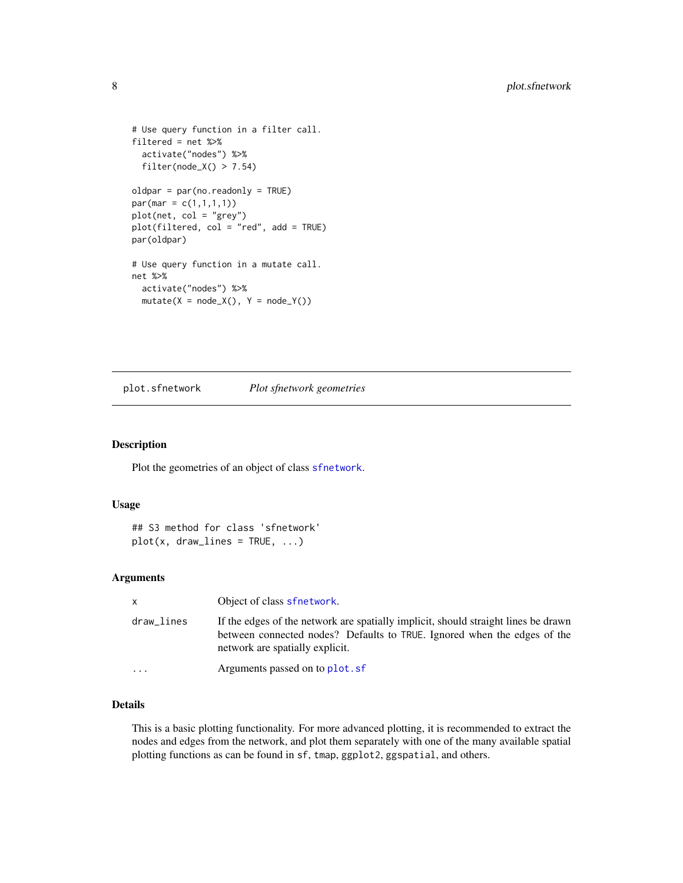```
# Use query function in a filter call.
filtered = net %>%
  activate("nodes") %>%
  filter(node_X() > 7.54)oldpar = par(no.readonly = TRUE)
par(max = c(1,1,1,1))plot(net, col = "grey")
plot(filtered, col = "red", add = TRUE)
par(oldpar)
# Use query function in a mutate call.
net %>%
  activate("nodes") %>%
  mutate(X = node_X(), Y = node_Y())
```
plot.sfnetwork *Plot sfnetwork geometries*

#### Description

Plot the geometries of an object of class [sfnetwork](#page-12-1).

#### Usage

```
## S3 method for class 'sfnetwork'
plot(x, draw\_lines = TRUE, ...)
```
#### Arguments

| $\mathsf{x}$            | Object of class sfnetwork.                                                                                                                                                                        |
|-------------------------|---------------------------------------------------------------------------------------------------------------------------------------------------------------------------------------------------|
| draw_lines              | If the edges of the network are spatially implicit, should straight lines be drawn<br>between connected nodes? Defaults to TRUE. Ignored when the edges of the<br>network are spatially explicit. |
| $\cdot$ $\cdot$ $\cdot$ | Arguments passed on to plot. sf                                                                                                                                                                   |

#### Details

This is a basic plotting functionality. For more advanced plotting, it is recommended to extract the nodes and edges from the network, and plot them separately with one of the many available spatial plotting functions as can be found in sf, tmap, ggplot2, ggspatial, and others.

<span id="page-7-0"></span>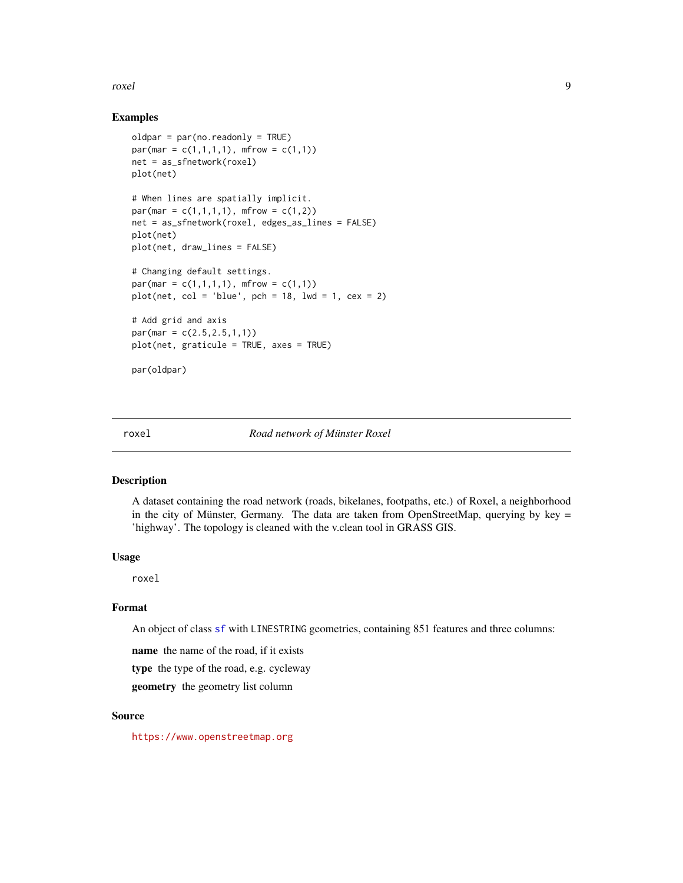#### <span id="page-8-0"></span>roxel and the set of the set of the set of the set of the set of the set of the set of the set of the set of the set of the set of the set of the set of the set of the set of the set of the set of the set of the set of the

#### Examples

```
oldpar = par(no.readonly = TRUE)
par(max = c(1,1,1,1), mfrom = c(1,1))net = as_sfnetwork(roxel)
plot(net)
# When lines are spatially implicit.
par(max = c(1,1,1,1), mfrow = c(1,2))
net = as_sfnetwork(roxel, edges_as_lines = FALSE)
plot(net)
plot(net, draw_lines = FALSE)
# Changing default settings.
par(max = c(1,1,1,1), mfrom = c(1,1))plot(net, col = 'blue', pch = 18, lwd = 1, cex = 2)# Add grid and axis
par(max = c(2.5, 2.5, 1, 1))plot(net, graticule = TRUE, axes = TRUE)
par(oldpar)
```
#### roxel *Road network of Münster Roxel*

#### Description

A dataset containing the road network (roads, bikelanes, footpaths, etc.) of Roxel, a neighborhood in the city of Münster, Germany. The data are taken from OpenStreetMap, querying by key  $=$ 'highway'. The topology is cleaned with the v.clean tool in GRASS GIS.

#### Usage

roxel

#### Format

An object of class [sf](#page-9-1) with LINESTRING geometries, containing 851 features and three columns:

name the name of the road, if it exists

type the type of the road, e.g. cycleway

geometry the geometry list column

#### Source

<https://www.openstreetmap.org>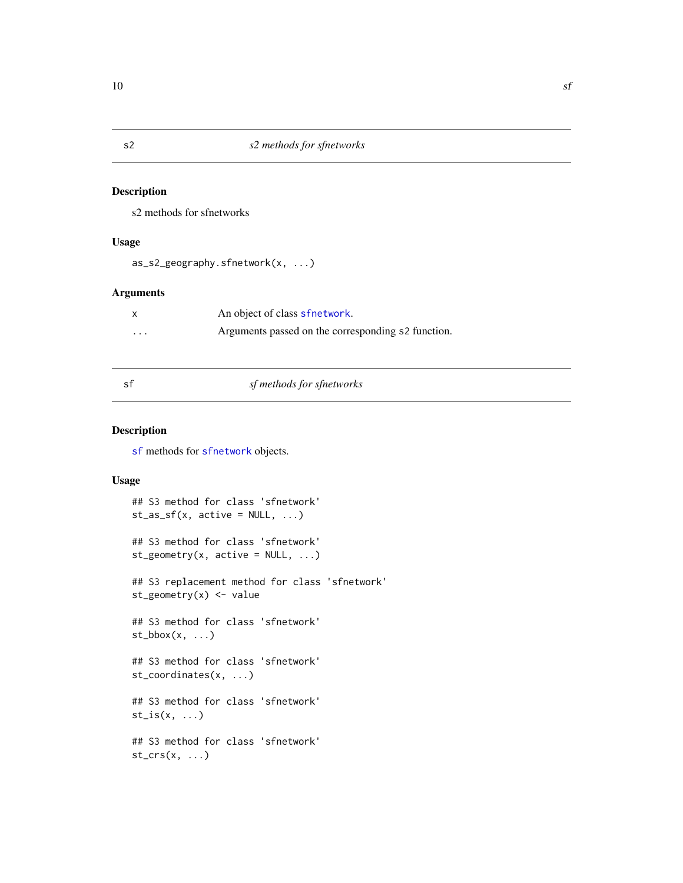s2 methods for sfnetworks

#### Usage

```
as_s2_geography.sfnetwork(x, ...)
```
#### Arguments

|          | An object of class sfnetwork.                      |
|----------|----------------------------------------------------|
| $\cdots$ | Arguments passed on the corresponding s2 function. |

<span id="page-9-1"></span>

### sf *sf methods for sfnetworks*

#### Description

[sf](#page-9-1) methods for [sfnetwork](#page-12-1) objects.

#### Usage

```
## S3 method for class 'sfnetwork'
st_as_s f(x, active = NULL, ...)## S3 method for class 'sfnetwork'
st\_geometry(x, active = NULL, ...)## S3 replacement method for class 'sfnetwork'
st\_geometry(x) \leq - value## S3 method for class 'sfnetwork'
st\_bbox(x, \ldots)## S3 method for class 'sfnetwork'
st_coordinates(x, ...)
## S3 method for class 'sfnetwork'
st_is(x, \ldots)## S3 method for class 'sfnetwork'
st\_crs(x, \ldots)
```
<span id="page-9-0"></span>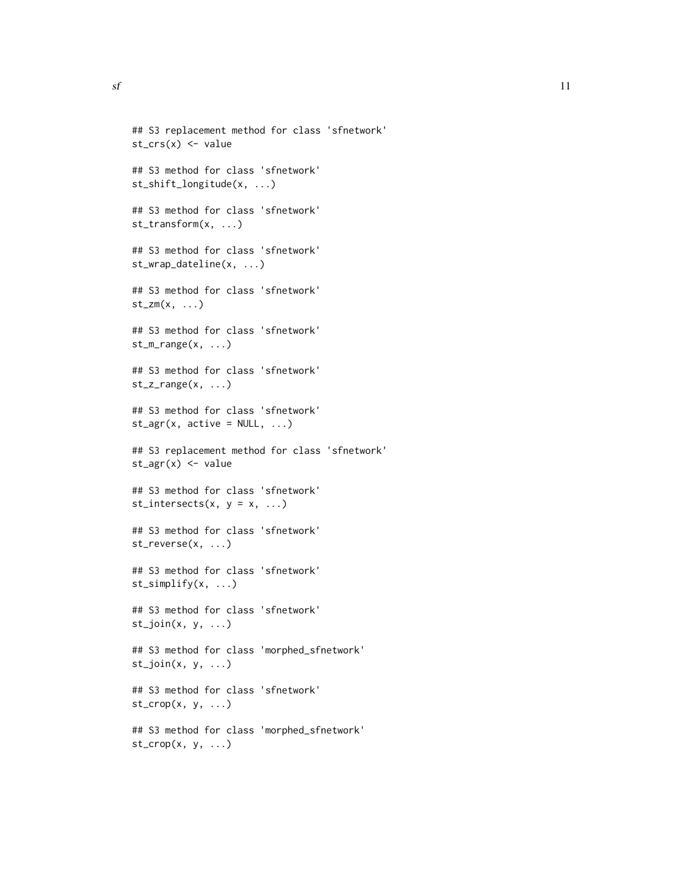```
## S3 replacement method for class 'sfnetwork'
st\_crs(x) \leq - value
## S3 method for class 'sfnetwork'
st_shift_longitude(x, ...)
## S3 method for class 'sfnetwork'
st_transform(x, ...)
## S3 method for class 'sfnetwork'
st_wrap_dateline(x, ...)
## S3 method for class 'sfnetwork'
st\_zm(x, \ldots)## S3 method for class 'sfnetwork'
st_m-range(x, \ldots)## S3 method for class 'sfnetwork'
st_zz_r = (x, \ldots)## S3 method for class 'sfnetwork'
st\_\text{agr}(x, \text{ active = NULL}, \dots)## S3 replacement method for class 'sfnetwork'
st_{agr}(x) \leftarrow value## S3 method for class 'sfnetwork'
st_intersects(x, y = x, ...)## S3 method for class 'sfnetwork'
st_reverse(x, ...)
## S3 method for class 'sfnetwork'
st_simplify(x, ...)
## S3 method for class 'sfnetwork'
st\_join(x, y, ...)## S3 method for class 'morphed_sfnetwork'
st\_join(x, y, ...)## S3 method for class 'sfnetwork'
st\_crop(x, y, ...)## S3 method for class 'morphed_sfnetwork'
st\_crop(x, y, \ldots)
```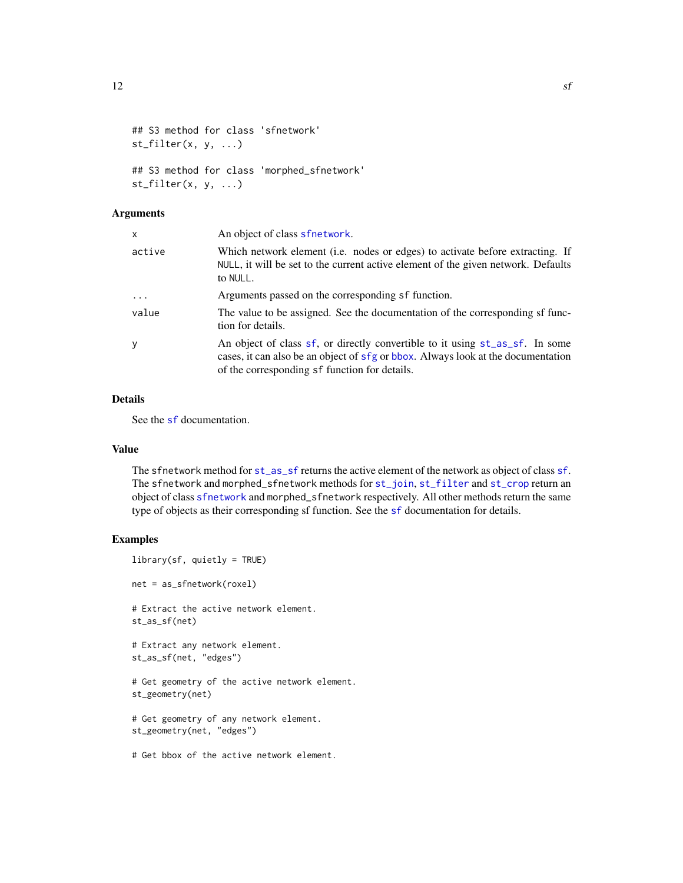```
## S3 method for class 'sfnetwork'
st_fitter(x, y, ...)## S3 method for class 'morphed_sfnetwork'
st_filter(x, y, ...)
```
#### Arguments

| $\mathsf{x}$ | An object of class sfnetwork.                                                                                                                                                                                     |
|--------------|-------------------------------------------------------------------------------------------------------------------------------------------------------------------------------------------------------------------|
| active       | Which network element (i.e. nodes or edges) to activate before extracting. If<br>NULL, it will be set to the current active element of the given network. Defaults<br>to NULL.                                    |
| $\cdot$      | Arguments passed on the corresponding sf function.                                                                                                                                                                |
| value        | The value to be assigned. See the documentation of the corresponding sf func-<br>tion for details.                                                                                                                |
| y            | An object of class sf, or directly convertible to it using st_as_sf. In some<br>cases, it can also be an object of sfg or bbox. Always look at the documentation<br>of the corresponding sf function for details. |

#### Details

See the [sf](#page-9-1) documentation.

#### Value

The sfnetwork method for [st\\_as\\_sf](#page-0-0) returns the active element of the network as object of class [sf](#page-9-1). The sfnetwork and morphed\_sfnetwork methods for [st\\_join](#page-0-0), [st\\_filter](#page-0-0) and [st\\_crop](#page-0-0) return an object of class [sfnetwork](#page-12-1) and morphed\_sfnetwork respectively. All other methods return the same type of objects as their corresponding sf function. See the [sf](#page-9-1) documentation for details.

```
library(sf, quietly = TRUE)
net = as_sfnetwork(roxel)
# Extract the active network element.
st_as_sf(net)
# Extract any network element.
st_as_sf(net, "edges")
# Get geometry of the active network element.
st_geometry(net)
# Get geometry of any network element.
st_geometry(net, "edges")
# Get bbox of the active network element.
```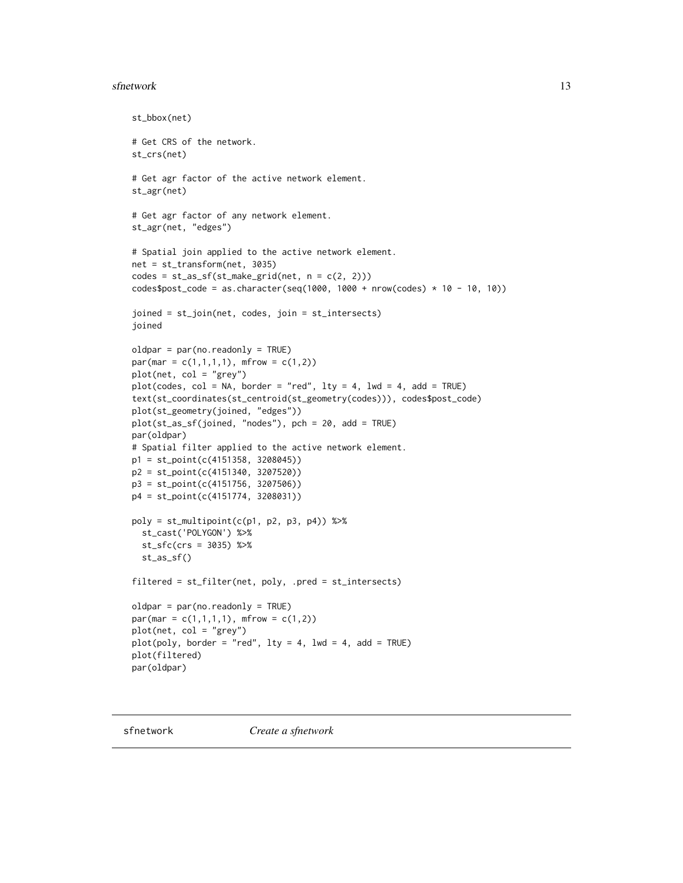#### <span id="page-12-0"></span>sfnetwork and the state of the state of the state of the state of the state of the state of the state of the state of the state of the state of the state of the state of the state of the state of the state of the state of

```
st_bbox(net)
# Get CRS of the network.
st_crs(net)
# Get agr factor of the active network element.
st_agr(net)
# Get agr factor of any network element.
st_agr(net, "edges")
# Spatial join applied to the active network element.
net = st_transform(net, 3035)
codes = st_as_sf(st\_make\_grid(net, n = c(2, 2)))codes$post_code = as.charAtacter(seq(1000, 1000 + nrow(codes) * 10 - 10, 10))joined = st_join(net, codes, join = st_intersects)
joined
oldpar = par(no.readonly = TRUE)
par(max = c(1,1,1,1), mfrow = c(1,2))
plot(net, col = "grey")plot(codes, col = NA, border = "red", lty = 4, lwd = 4, add = TRUE)text(st_coordinates(st_centroid(st_geometry(codes))), codes$post_code)
plot(st_geometry(joined, "edges"))
plot(st_as_sf(joined, "nodes"), pch = 20, add = TRUE)
par(oldpar)
# Spatial filter applied to the active network element.
p1 = st_point(c(4151358, 3208045))
p2 = st_point(c(4151340, 3207520))
p3 = st_point(c(4151756, 3207506))
p4 = st_point(c(4151774, 3208031))
poly = st_multipoint(c(p1, p2, p3, p4)) %>%
  st_cast('POLYGON') %>%
  st_sfc(crs = 3035) %>%
  st_as_sf()
filtered = st_filter(net, poly, .pred = st_intersects)
oldpar = par(no.readonly = TRUE)
par(max = c(1,1,1,1), mfrom = c(1,2))plot(net, col = "grey")
plot(poly, border = "red", lty = 4, lwd = 4, add = TRUE)plot(filtered)
par(oldpar)
```
<span id="page-12-1"></span>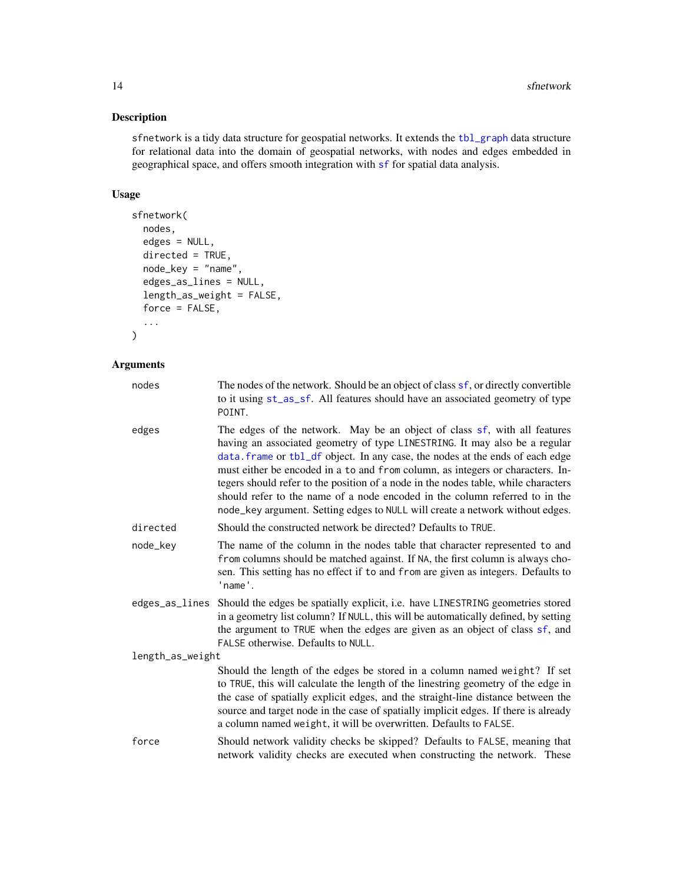<span id="page-13-0"></span>sfnetwork is a tidy data structure for geospatial networks. It extends the [tbl\\_graph](#page-0-0) data structure for relational data into the domain of geospatial networks, with nodes and edges embedded in geographical space, and offers smooth integration with [sf](#page-9-1) for spatial data analysis.

#### Usage

```
sfnetwork(
  nodes,
  edges = NULL,
  directed = TRUE,
  node_key = "name",
  edges_as_lines = NULL,
  length_as_weight = FALSE,
  force = FALSE,
  ...
\mathcal{L}
```
#### Arguments

| nodes            | The nodes of the network. Should be an object of class sf, or directly convertible<br>to it using st_as_sf. All features should have an associated geometry of type<br>POINT.                                                                                                                                                                                                                                                                                                                                                                                                    |
|------------------|----------------------------------------------------------------------------------------------------------------------------------------------------------------------------------------------------------------------------------------------------------------------------------------------------------------------------------------------------------------------------------------------------------------------------------------------------------------------------------------------------------------------------------------------------------------------------------|
| edges            | The edges of the network. May be an object of class sf, with all features<br>having an associated geometry of type LINESTRING. It may also be a regular<br>data. frame or tbl_df object. In any case, the nodes at the ends of each edge<br>must either be encoded in a to and from column, as integers or characters. In-<br>tegers should refer to the position of a node in the nodes table, while characters<br>should refer to the name of a node encoded in the column referred to in the<br>node_key argument. Setting edges to NULL will create a network without edges. |
| directed         | Should the constructed network be directed? Defaults to TRUE.                                                                                                                                                                                                                                                                                                                                                                                                                                                                                                                    |
| node_key         | The name of the column in the nodes table that character represented to and<br>from columns should be matched against. If NA, the first column is always cho-<br>sen. This setting has no effect if to and from are given as integers. Defaults to<br>'name'.                                                                                                                                                                                                                                                                                                                    |
| edges_as_lines   | Should the edges be spatially explicit, i.e. have LINESTRING geometries stored<br>in a geometry list column? If NULL, this will be automatically defined, by setting<br>the argument to TRUE when the edges are given as an object of class sf, and<br>FALSE otherwise. Defaults to NULL.                                                                                                                                                                                                                                                                                        |
| length_as_weight |                                                                                                                                                                                                                                                                                                                                                                                                                                                                                                                                                                                  |
|                  | Should the length of the edges be stored in a column named weight? If set<br>to TRUE, this will calculate the length of the linestring geometry of the edge in<br>the case of spatially explicit edges, and the straight-line distance between the<br>source and target node in the case of spatially implicit edges. If there is already<br>a column named weight, it will be overwritten. Defaults to FALSE.                                                                                                                                                                   |
| force            | Should network validity checks be skipped? Defaults to FALSE, meaning that<br>network validity checks are executed when constructing the network. These                                                                                                                                                                                                                                                                                                                                                                                                                          |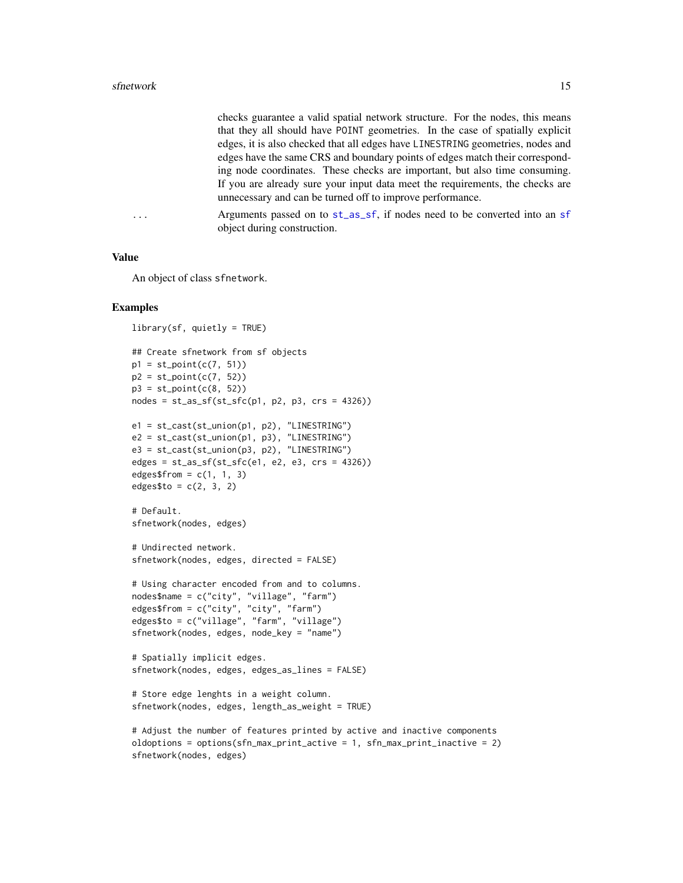<span id="page-14-0"></span>checks guarantee a valid spatial network structure. For the nodes, this means that they all should have POINT geometries. In the case of spatially explicit edges, it is also checked that all edges have LINESTRING geometries, nodes and edges have the same CRS and boundary points of edges match their corresponding node coordinates. These checks are important, but also time consuming. If you are already sure your input data meet the requirements, the checks are unnecessary and can be turned off to improve performance.

... Arguments passed on to [st\\_as\\_sf](#page-0-0), if nodes need to be converted into an [sf](#page-9-1) object during construction.

#### Value

An object of class sfnetwork.

```
library(sf, quietly = TRUE)
## Create sfnetwork from sf objects
p1 = st\_point(c(7, 51))p2 = st\_point(c(7, 52))p3 = st\_point(c(8, 52))nodes = st_as_sf(st_sfc(p1, p2, p3, crs = 4326))e1 = st_cast(st_union(p1, p2), "LINESTRING")
e2 = st_cast(st_union(p1, p3), "LINESTRING")
e3 = st\_cast(st\_union(p3, p2), "LINESTRING")edges = st_as_sf(st_sfc(e1, e2, e3, crs = 4326))edges$from = c(1, 1, 3)edges$to = c(2, 3, 2)
# Default.
sfnetwork(nodes, edges)
# Undirected network.
sfnetwork(nodes, edges, directed = FALSE)
# Using character encoded from and to columns.
nodes$name = c("city", "village", "farm")
edges$from = c("city", "city", "farm")
edges$to = c("village", "farm", "village")
sfnetwork(nodes, edges, node_key = "name")
# Spatially implicit edges.
sfnetwork(nodes, edges, edges_as_lines = FALSE)
# Store edge lenghts in a weight column.
sfnetwork(nodes, edges, length_as_weight = TRUE)
# Adjust the number of features printed by active and inactive components
```

```
oldoptions = options(sfn_max_print_active = 1, sfn_max_print_inactive = 2)
sfnetwork(nodes, edges)
```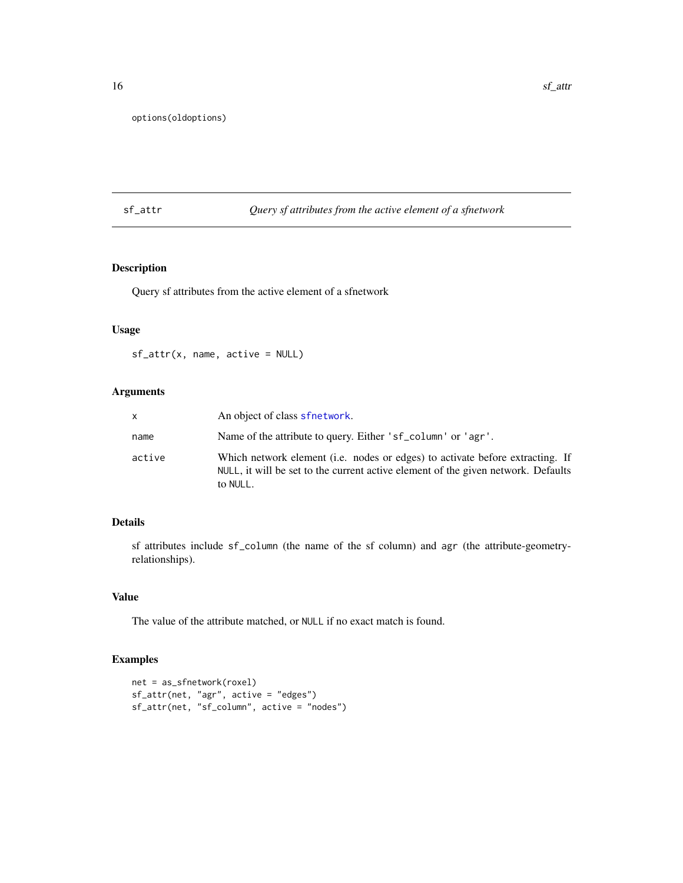<span id="page-15-0"></span>options(oldoptions)

#### sf\_attr *Query sf attributes from the active element of a sfnetwork*

#### Description

Query sf attributes from the active element of a sfnetwork

#### Usage

sf\_attr(x, name, active = NULL)

#### Arguments

| x      | An object of class sfnetwork.                                                                                                                                                  |
|--------|--------------------------------------------------------------------------------------------------------------------------------------------------------------------------------|
| name   | Name of the attribute to query. Either 'sf_column' or 'agr'.                                                                                                                   |
| active | Which network element (i.e. nodes or edges) to activate before extracting. If<br>NULL, it will be set to the current active element of the given network. Defaults<br>to NULL. |

#### Details

sf attributes include sf\_column (the name of the sf column) and agr (the attribute-geometryrelationships).

#### Value

The value of the attribute matched, or NULL if no exact match is found.

```
net = as_sfnetwork(roxel)
sf_attr(net, "agr", active = "edges")
sf_attr(net, "sf_column", active = "nodes")
```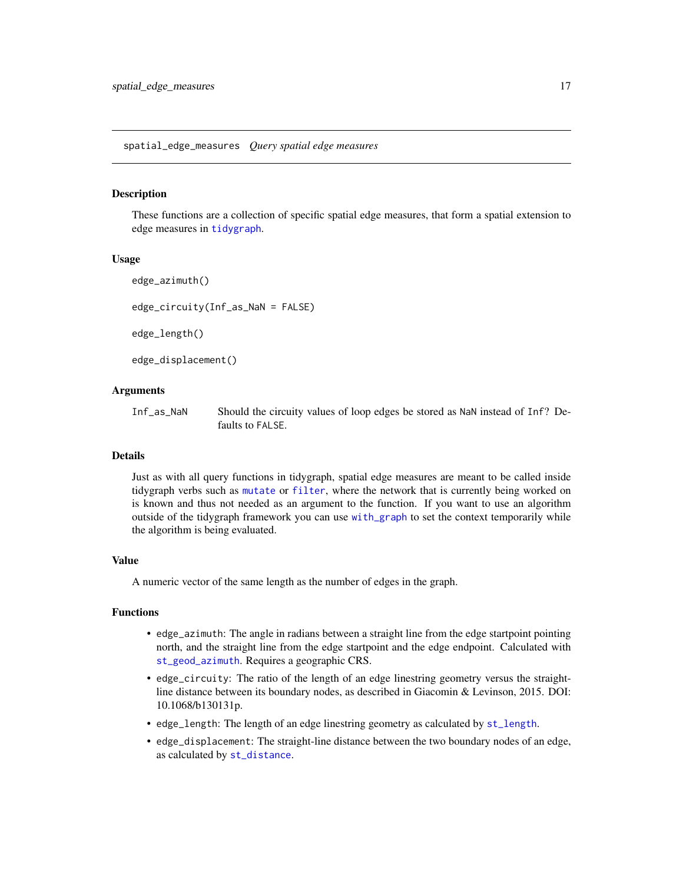<span id="page-16-0"></span>These functions are a collection of specific spatial edge measures, that form a spatial extension to edge measures in [tidygraph](#page-0-0).

#### Usage

```
edge_azimuth()
```
edge\_circuity(Inf\_as\_NaN = FALSE)

edge\_length()

edge\_displacement()

#### Arguments

Inf\_as\_NaN Should the circuity values of loop edges be stored as NaN instead of Inf? Defaults to FALSE.

#### Details

Just as with all query functions in tidygraph, spatial edge measures are meant to be called inside tidygraph verbs such as [mutate](#page-0-0) or [filter](#page-0-0), where the network that is currently being worked on is known and thus not needed as an argument to the function. If you want to use an algorithm outside of the tidygraph framework you can use [with\\_graph](#page-0-0) to set the context temporarily while the algorithm is being evaluated.

#### Value

A numeric vector of the same length as the number of edges in the graph.

#### Functions

- edge\_azimuth: The angle in radians between a straight line from the edge startpoint pointing north, and the straight line from the edge startpoint and the edge endpoint. Calculated with [st\\_geod\\_azimuth](#page-0-0). Requires a geographic CRS.
- edge\_circuity: The ratio of the length of an edge linestring geometry versus the straightline distance between its boundary nodes, as described in Giacomin & Levinson, 2015. DOI: 10.1068/b130131p.
- edge\_length: The length of an edge linestring geometry as calculated by [st\\_length](#page-0-0).
- edge\_displacement: The straight-line distance between the two boundary nodes of an edge, as calculated by [st\\_distance](#page-0-0).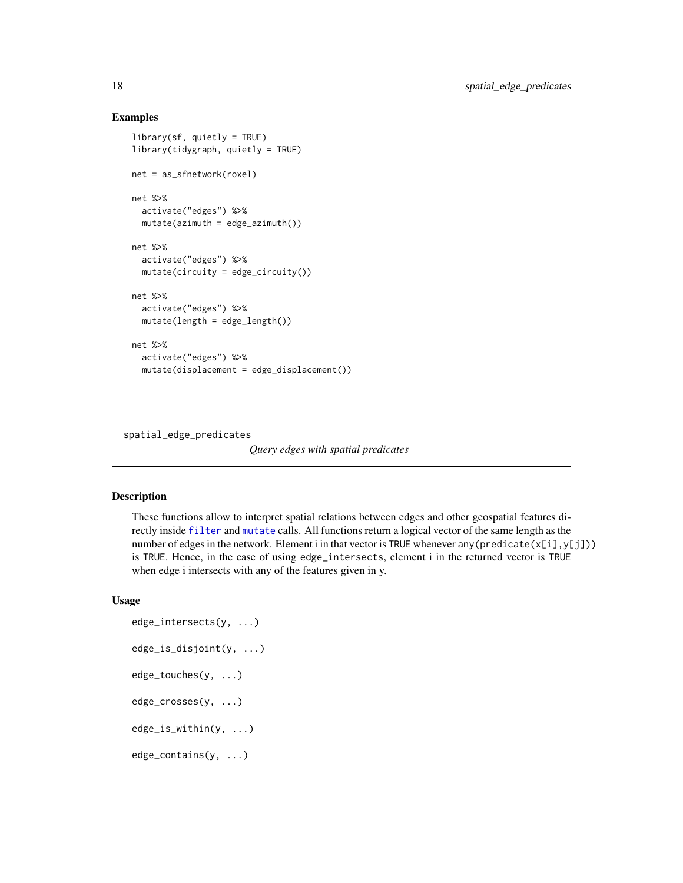#### Examples

```
library(sf, quietly = TRUE)
library(tidygraph, quietly = TRUE)
net = as_sfnetwork(roxel)
net %>%
  activate("edges") %>%
  mutate(azimuth = edge_azimuth())net %>%
  activate("edges") %>%
  mutate(circuity = edge_circuity())
net %>%
  activate("edges") %>%
  mutate(length = edge_length())net %>%
  activate("edges") %>%
  mutate(displacement = edge_displacement())
```
spatial\_edge\_predicates

*Query edges with spatial predicates*

#### Description

These functions allow to interpret spatial relations between edges and other geospatial features directly inside [filter](#page-0-0) and [mutate](#page-0-0) calls. All functions return a logical vector of the same length as the number of edges in the network. Element i in that vector is TRUE whenever any (predicate( $x[i], y[j])$ ) is TRUE. Hence, in the case of using edge\_intersects, element i in the returned vector is TRUE when edge i intersects with any of the features given in y.

#### Usage

```
edge_intersects(y, ...)
edge_is_disjoint(y, ...)
edge_touches(y, ...)
edge_crosses(y, ...)
edge_is_within(y, ...)
edge_contains(y, ...)
```
<span id="page-17-0"></span>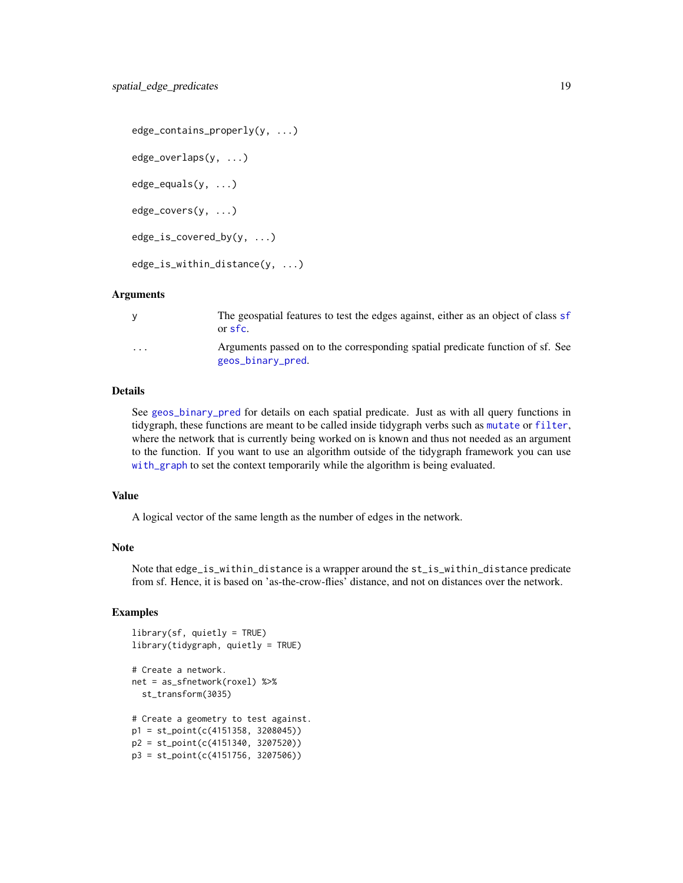```
edge_contains_properly(y, ...)
edge_overlaps(y, ...)
edge_equals(y, ...)
edge_covers(y, ...)
edge_is_covered_by(y, ...)
edge_is_within_distance(y, ...)
```
#### **Arguments**

|                         | The geospatial features to test the edges against, either as an object of class sf<br>or sfc.       |
|-------------------------|-----------------------------------------------------------------------------------------------------|
| $\cdot$ $\cdot$ $\cdot$ | Arguments passed on to the corresponding spatial predicate function of sf. See<br>geos_binary_pred. |

#### Details

See [geos\\_binary\\_pred](#page-0-0) for details on each spatial predicate. Just as with all query functions in tidygraph, these functions are meant to be called inside tidygraph verbs such as [mutate](#page-0-0) or [filter](#page-0-0), where the network that is currently being worked on is known and thus not needed as an argument to the function. If you want to use an algorithm outside of the tidygraph framework you can use [with\\_graph](#page-0-0) to set the context temporarily while the algorithm is being evaluated.

#### Value

A logical vector of the same length as the number of edges in the network.

#### Note

Note that edge\_is\_within\_distance is a wrapper around the st\_is\_within\_distance predicate from sf. Hence, it is based on 'as-the-crow-flies' distance, and not on distances over the network.

```
library(sf, quietly = TRUE)library(tidygraph, quietly = TRUE)
# Create a network.
net = as_sfnetwork(roxel) %>%
  st_transform(3035)
# Create a geometry to test against.
p1 = st_point(c(4151358, 3208045))
p2 = st_point(c(4151340, 3207520))
p3 = st_point(c(4151756, 3207506))
```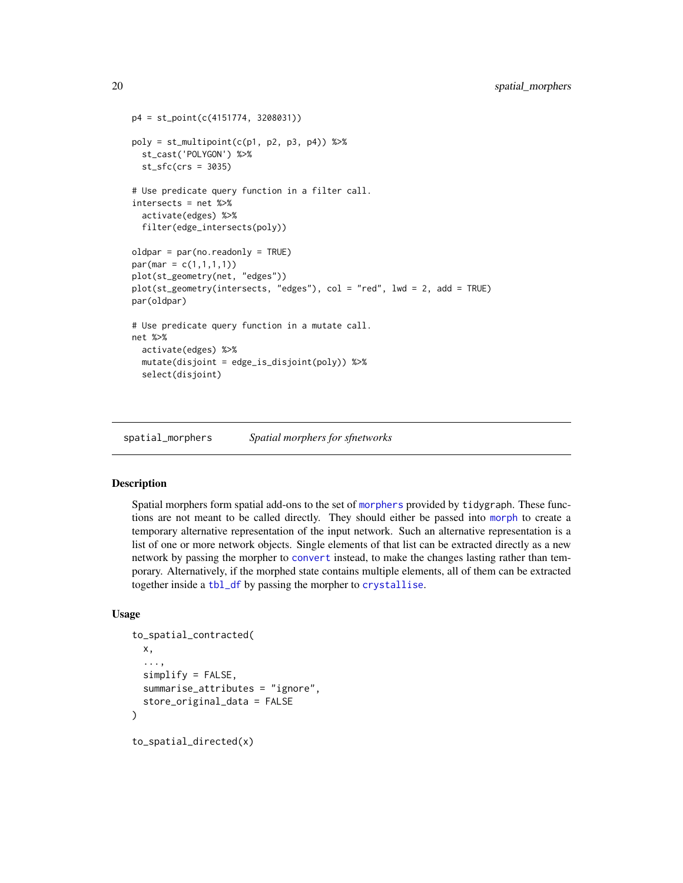```
p4 = st_point(c(4151774, 3208031))
poly = st_multipoint(c(p1, p2, p3, p4)) %>%
  st_cast('POLYGON') %>%
  st_sfc(crs = 3035)
# Use predicate query function in a filter call.
intersects = net %>%
  activate(edges) %>%
  filter(edge_intersects(poly))
oldpar = par(no.readonly = TRUE)par(max = c(1,1,1,1))plot(st_geometry(net, "edges"))
plot(st_geometry(intersects, "edges"), col = "red", lwd = 2, add = TRUE)
par(oldpar)
# Use predicate query function in a mutate call.
net %>%
  activate(edges) %>%
  mutate(disjoint = edge_is_disjoint(poly)) %>%
  select(disjoint)
```
spatial\_morphers *Spatial morphers for sfnetworks*

#### <span id="page-19-1"></span>Description

Spatial morphers form spatial add-ons to the set of [morphers](#page-0-0) provided by tidygraph. These functions are not meant to be called directly. They should either be passed into [morph](#page-0-0) to create a temporary alternative representation of the input network. Such an alternative representation is a list of one or more network objects. Single elements of that list can be extracted directly as a new network by passing the morpher to [convert](#page-0-0) instead, to make the changes lasting rather than temporary. Alternatively, if the morphed state contains multiple elements, all of them can be extracted together inside a [tbl\\_df](#page-0-0) by passing the morpher to [crystallise](#page-0-0).

#### Usage

```
to_spatial_contracted(
 x,
  ...,
  simplify = FALSE,
  summarise_attributes = "ignore",
  store_original_data = FALSE
)
to_spatial_directed(x)
```
<span id="page-19-0"></span>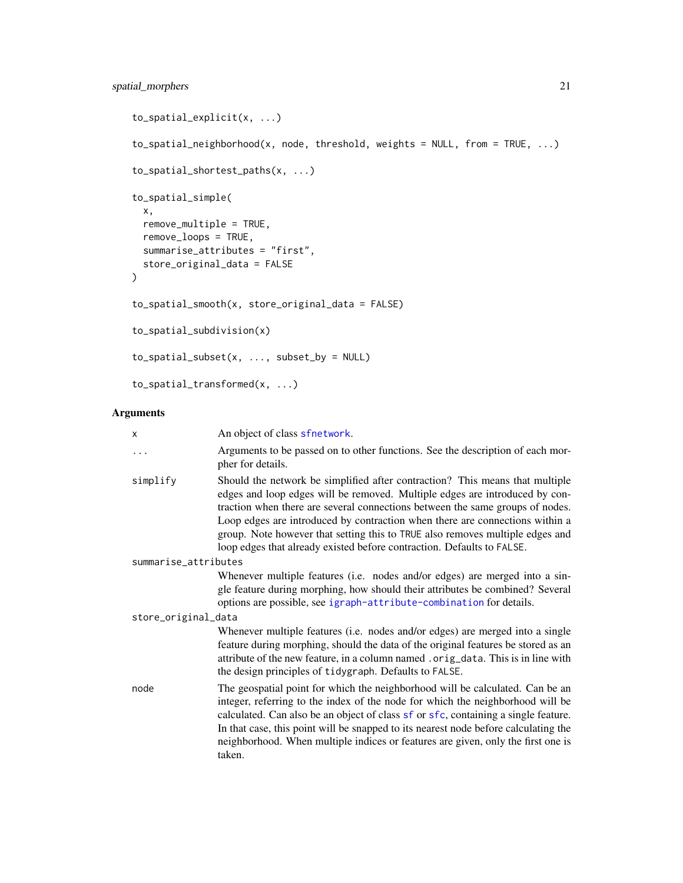```
to_spatial_explicit(x, ...)
to_spatial_neighborhood(x, node, threshold, weights = NULL, from = TRUE, ...)
to_spatial_shortest_paths(x, ...)
to_spatial_simple(
 x,
 remove_multiple = TRUE,
 remove_loops = TRUE,
 summarise_attributes = "first",
 store_original_data = FALSE
)
to_spatial_smooth(x, store_original_data = FALSE)
to_spatial_subdivision(x)
to_spatial_subset(x, ..., subset_by = NULL)
to_spatial_transformed(x, ...)
```
#### Arguments

| X                    | An object of class sfnetwork.                                                                                                                                                                                                                                                                                                                                                                                                                                                           |
|----------------------|-----------------------------------------------------------------------------------------------------------------------------------------------------------------------------------------------------------------------------------------------------------------------------------------------------------------------------------------------------------------------------------------------------------------------------------------------------------------------------------------|
| $\ddots$             | Arguments to be passed on to other functions. See the description of each mor-<br>pher for details.                                                                                                                                                                                                                                                                                                                                                                                     |
| simplify             | Should the network be simplified after contraction? This means that multiple<br>edges and loop edges will be removed. Multiple edges are introduced by con-<br>traction when there are several connections between the same groups of nodes.<br>Loop edges are introduced by contraction when there are connections within a<br>group. Note however that setting this to TRUE also removes multiple edges and<br>loop edges that already existed before contraction. Defaults to FALSE. |
| summarise_attributes |                                                                                                                                                                                                                                                                                                                                                                                                                                                                                         |
|                      | Whenever multiple features (i.e. nodes and/or edges) are merged into a sin-                                                                                                                                                                                                                                                                                                                                                                                                             |
|                      | gle feature during morphing, how should their attributes be combined? Several                                                                                                                                                                                                                                                                                                                                                                                                           |
|                      | options are possible, see igraph-attribute-combination for details.                                                                                                                                                                                                                                                                                                                                                                                                                     |
| store_original_data  |                                                                                                                                                                                                                                                                                                                                                                                                                                                                                         |
|                      | Whenever multiple features (i.e. nodes and/or edges) are merged into a single<br>feature during morphing, should the data of the original features be stored as an<br>attribute of the new feature, in a column named. orig_data. This is in line with<br>the design principles of tidygraph. Defaults to FALSE.                                                                                                                                                                        |
| node                 | The geospatial point for which the neighborhood will be calculated. Can be an<br>integer, referring to the index of the node for which the neighborhood will be<br>calculated. Can also be an object of class sf or sfc, containing a single feature.<br>In that case, this point will be snapped to its nearest node before calculating the<br>neighborhood. When multiple indices or features are given, only the first one is<br>taken.                                              |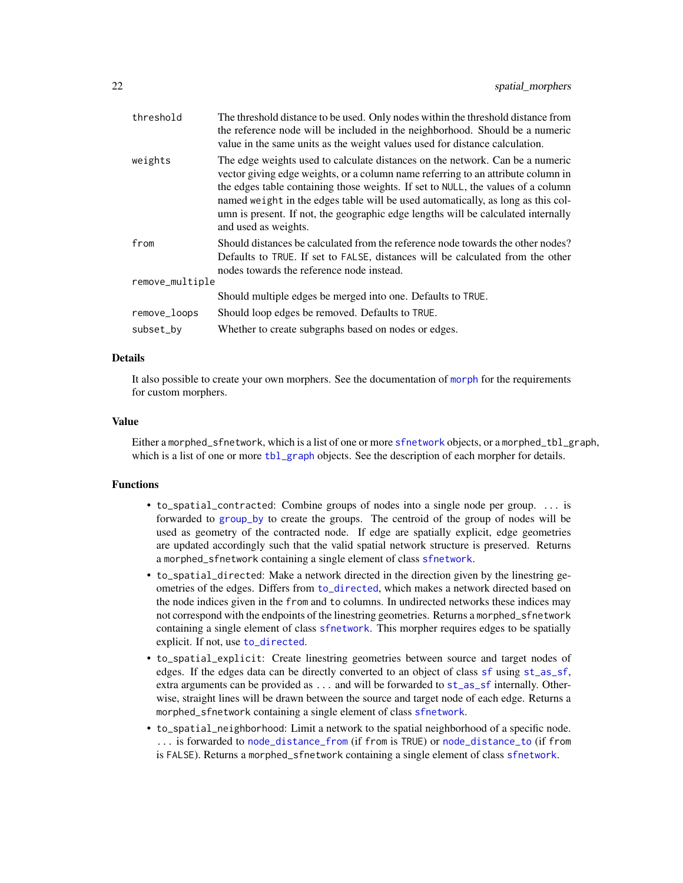<span id="page-21-0"></span>

| threshold       | The threshold distance to be used. Only nodes within the threshold distance from<br>the reference node will be included in the neighborhood. Should be a numeric<br>value in the same units as the weight values used for distance calculation.                                                                                                                                                                                                        |
|-----------------|--------------------------------------------------------------------------------------------------------------------------------------------------------------------------------------------------------------------------------------------------------------------------------------------------------------------------------------------------------------------------------------------------------------------------------------------------------|
| weights         | The edge weights used to calculate distances on the network. Can be a numeric<br>vector giving edge weights, or a column name referring to an attribute column in<br>the edges table containing those weights. If set to NULL, the values of a column<br>named weight in the edges table will be used automatically, as long as this col-<br>umn is present. If not, the geographic edge lengths will be calculated internally<br>and used as weights. |
| from            | Should distances be calculated from the reference node towards the other nodes?<br>Defaults to TRUE. If set to FALSE, distances will be calculated from the other<br>nodes towards the reference node instead.                                                                                                                                                                                                                                         |
| remove_multiple |                                                                                                                                                                                                                                                                                                                                                                                                                                                        |
|                 | Should multiple edges be merged into one. Defaults to TRUE.                                                                                                                                                                                                                                                                                                                                                                                            |
| remove_loops    | Should loop edges be removed. Defaults to TRUE.                                                                                                                                                                                                                                                                                                                                                                                                        |
| subset_by       | Whether to create subgraphs based on nodes or edges.                                                                                                                                                                                                                                                                                                                                                                                                   |
|                 |                                                                                                                                                                                                                                                                                                                                                                                                                                                        |

#### Details

It also possible to create your own morphers. See the documentation of [morph](#page-0-0) for the requirements for custom morphers.

#### Value

Either a morphed\_[sfnetwork](#page-12-1), which is a list of one or more sfnetwork objects, or a morphed\_tbl\_graph, which is a list of one or more [tbl\\_graph](#page-0-0) objects. See the description of each morpher for details.

#### Functions

- to\_spatial\_contracted: Combine groups of nodes into a single node per group. ... is forwarded to [group\\_by](#page-0-0) to create the groups. The centroid of the group of nodes will be used as geometry of the contracted node. If edge are spatially explicit, edge geometries are updated accordingly such that the valid spatial network structure is preserved. Returns a morphed\_sfnetwork containing a single element of class [sfnetwork](#page-12-1).
- to\_spatial\_directed: Make a network directed in the direction given by the linestring geometries of the edges. Differs from [to\\_directed](#page-0-0), which makes a network directed based on the node indices given in the from and to columns. In undirected networks these indices may not correspond with the endpoints of the linestring geometries. Returns a morphed\_sfnetwork containing a single element of class [sfnetwork](#page-12-1). This morpher requires edges to be spatially explicit. If not, use [to\\_directed](#page-0-0).
- to\_spatial\_explicit: Create linestring geometries between source and target nodes of edges. If the edges data can be directly converted to an object of class [sf](#page-9-1) using [st\\_as\\_sf](#page-0-0), extra arguments can be provided as ... and will be forwarded to [st\\_as\\_sf](#page-0-0) internally. Otherwise, straight lines will be drawn between the source and target node of each edge. Returns a morphed\_sfnetwork containing a single element of class [sfnetwork](#page-12-1).
- to\_spatial\_neighborhood: Limit a network to the spatial neighborhood of a specific node. ... is forwarded to [node\\_distance\\_from](#page-0-0) (if from is TRUE) or [node\\_distance\\_to](#page-0-0) (if from is FALSE). Returns a morphed\_sfnetwork containing a single element of class [sfnetwork](#page-12-1).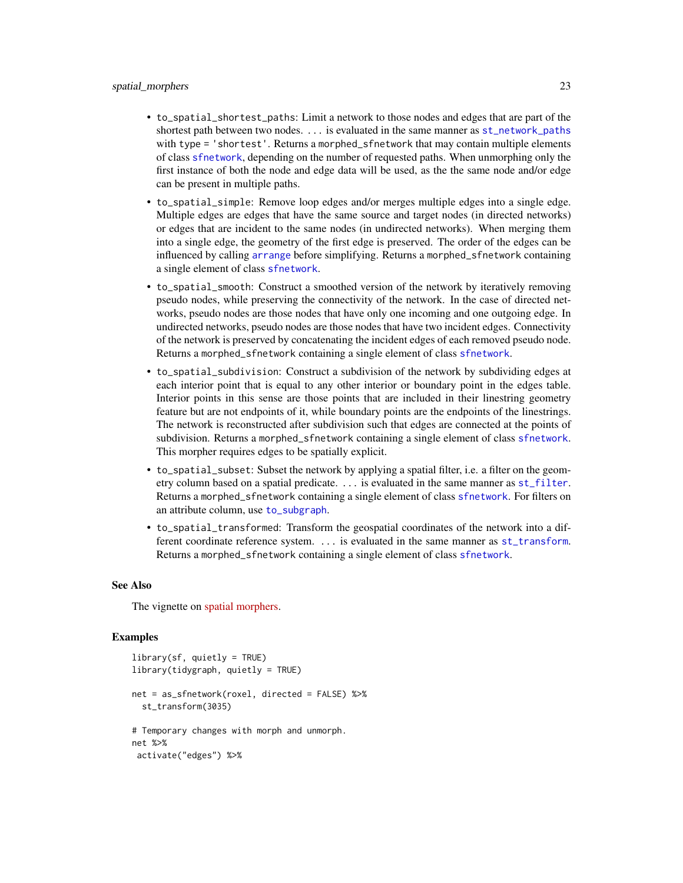- <span id="page-22-0"></span>• to\_spatial\_shortest\_paths: Limit a network to those nodes and edges that are part of the shortest path between two nodes. ... is evaluated in the same manner as [st\\_network\\_paths](#page-32-1) with type = 'shortest'. Returns a morphed\_sfnetwork that may contain multiple elements of class [sfnetwork](#page-12-1), depending on the number of requested paths. When unmorphing only the first instance of both the node and edge data will be used, as the the same node and/or edge can be present in multiple paths.
- to\_spatial\_simple: Remove loop edges and/or merges multiple edges into a single edge. Multiple edges are edges that have the same source and target nodes (in directed networks) or edges that are incident to the same nodes (in undirected networks). When merging them into a single edge, the geometry of the first edge is preserved. The order of the edges can be influenced by calling [arrange](#page-0-0) before simplifying. Returns a morphed\_sfnetwork containing a single element of class [sfnetwork](#page-12-1).
- to\_spatial\_smooth: Construct a smoothed version of the network by iteratively removing pseudo nodes, while preserving the connectivity of the network. In the case of directed networks, pseudo nodes are those nodes that have only one incoming and one outgoing edge. In undirected networks, pseudo nodes are those nodes that have two incident edges. Connectivity of the network is preserved by concatenating the incident edges of each removed pseudo node. Returns a morphed\_sfnetwork containing a single element of class [sfnetwork](#page-12-1).
- to\_spatial\_subdivision: Construct a subdivision of the network by subdividing edges at each interior point that is equal to any other interior or boundary point in the edges table. Interior points in this sense are those points that are included in their linestring geometry feature but are not endpoints of it, while boundary points are the endpoints of the linestrings. The network is reconstructed after subdivision such that edges are connected at the points of subdivision. Returns a morphed\_sfnetwork containing a single element of class [sfnetwork](#page-12-1). This morpher requires edges to be spatially explicit.
- to\_spatial\_subset: Subset the network by applying a spatial filter, i.e. a filter on the geometry column based on a spatial predicate. ... is evaluated in the same manner as [st\\_filter](#page-0-0). Returns a morphed\_sfnetwork containing a single element of class [sfnetwork](#page-12-1). For filters on an attribute column, use [to\\_subgraph](#page-0-0).
- to\_spatial\_transformed: Transform the geospatial coordinates of the network into a different coordinate reference system. ... is evaluated in the same manner as [st\\_transform](#page-0-0). Returns a morphed\_sfnetwork containing a single element of class [sfnetwork](#page-12-1).

#### See Also

The vignette on [spatial morphers.](https://luukvdmeer.github.io/sfnetworks/articles/sfn05_morphers.html)

```
library(sf, quietly = TRUE)
library(tidygraph, quietly = TRUE)
net = as_sfnetwork(roxel, directed = FALSE) %>%
 st_transform(3035)
# Temporary changes with morph and unmorph.
net %>%
 activate("edges") %>%
```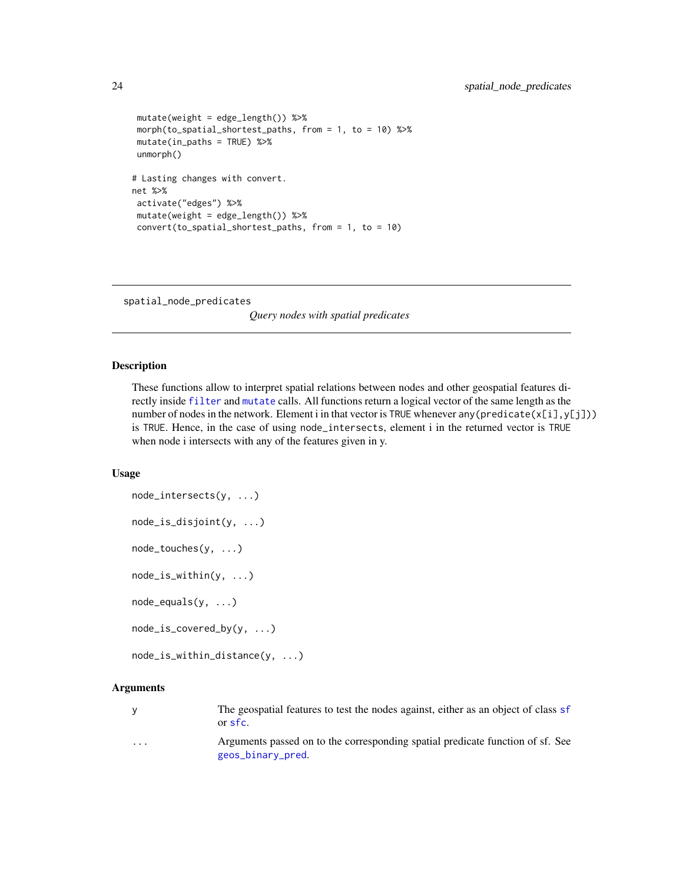```
mutate(weight = edge_length()) %>%
morph(to_spatial_shortest_paths, from = 1, to = 10) %>%
mutate(in_paths = TRUE) %>%
unmorph()
# Lasting changes with convert.
net %>%
activate("edges") %>%
mutate(weight = edge_length()) %>%
convert(to_spatial_shortest_paths, from = 1, to = 10)
```
spatial\_node\_predicates

*Query nodes with spatial predicates*

#### Description

These functions allow to interpret spatial relations between nodes and other geospatial features directly inside [filter](#page-0-0) and [mutate](#page-0-0) calls. All functions return a logical vector of the same length as the number of nodes in the network. Element i in that vector is TRUE whenever any (predicate( $x[i], y[j])$ ) is TRUE. Hence, in the case of using node\_intersects, element i in the returned vector is TRUE when node i intersects with any of the features given in y.

#### Usage

```
node_intersects(y, ...)
node_is_disjoint(y, ...)
node_touches(y, ...)
node_is_within(y, ...)
node_equals(y, ...)
node_is_covered_by(y, ...)
node_is_within_distance(y, ...)
```
#### Arguments

y The geospatial features to test the nodes against, either as an object of class [sf](#page-9-1) or [sfc](#page-0-0).

... Arguments passed on to the corresponding spatial predicate function of sf. See [geos\\_binary\\_pred](#page-0-0).

<span id="page-23-0"></span>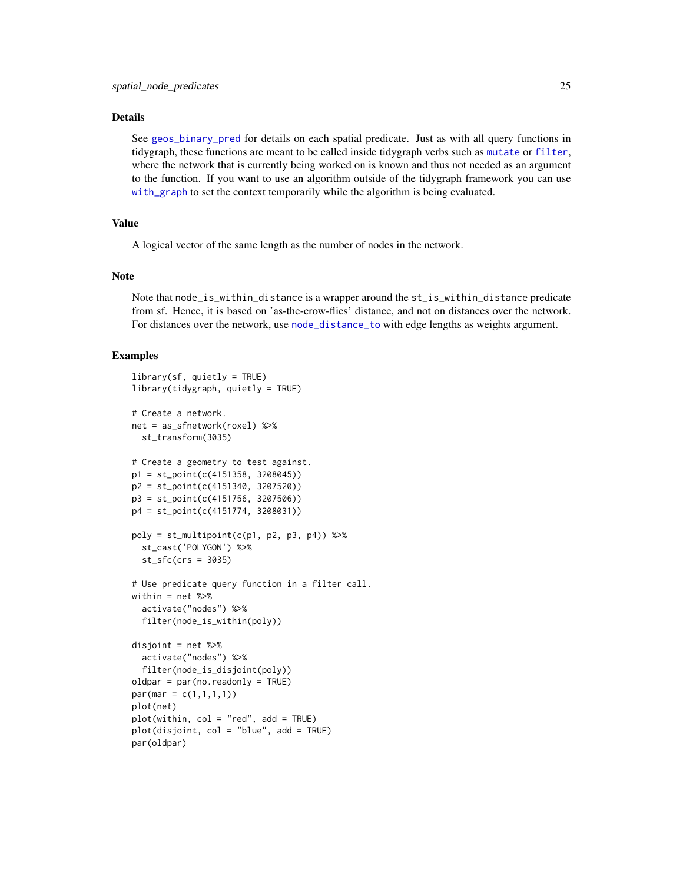#### <span id="page-24-0"></span>Details

See [geos\\_binary\\_pred](#page-0-0) for details on each spatial predicate. Just as with all query functions in tidygraph, these functions are meant to be called inside tidygraph verbs such as [mutate](#page-0-0) or [filter](#page-0-0), where the network that is currently being worked on is known and thus not needed as an argument to the function. If you want to use an algorithm outside of the tidygraph framework you can use [with\\_graph](#page-0-0) to set the context temporarily while the algorithm is being evaluated.

#### Value

A logical vector of the same length as the number of nodes in the network.

#### Note

Note that node\_is\_within\_distance is a wrapper around the st\_is\_within\_distance predicate from sf. Hence, it is based on 'as-the-crow-flies' distance, and not on distances over the network. For distances over the network, use [node\\_distance\\_to](#page-0-0) with edge lengths as weights argument.

```
library(sf, quietly = TRUE)
library(tidygraph, quietly = TRUE)
# Create a network.
net = as_sfnetwork(roxel) %>%
 st_transform(3035)
# Create a geometry to test against.
p1 = st_point(c(4151358, 3208045))
p2 = st_point(c(4151340, 3207520))
p3 = st_point(c(4151756, 3207506))
p4 = st_point(c(4151774, 3208031))
poly = st_multipoint(c(p1, p2, p3, p4)) %>%
  st_cast('POLYGON') %>%
  st\_sfc(crs = 3035)# Use predicate query function in a filter call.
within = net %>%
  activate("nodes") %>%
  filter(node_is_within(poly))
disjoint = net %>%
  activate("nodes") %>%
  filter(node_is_disjoint(poly))
oldpar = par(no.readonly = TRUE)par(max = c(1,1,1,1))plot(net)
plot(within, col = "red", add = TRUE)plot(disjoint, col = "blue", add = TRUE)
par(oldpar)
```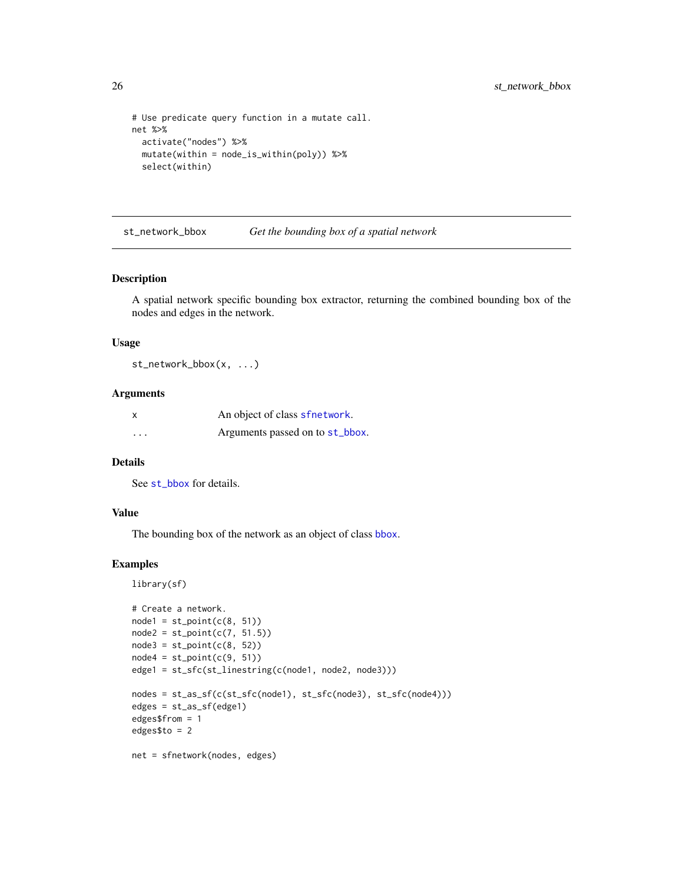```
# Use predicate query function in a mutate call.
net %>%
  activate("nodes") %>%
  mutate(within = node_is_within(poly)) %>%
  select(within)
```
st\_network\_bbox *Get the bounding box of a spatial network*

#### Description

A spatial network specific bounding box extractor, returning the combined bounding box of the nodes and edges in the network.

#### Usage

st\_network\_bbox(x, ...)

#### Arguments

| $\boldsymbol{\mathsf{x}}$ | An object of class sfnetwork.   |  |
|---------------------------|---------------------------------|--|
| $\cdots$                  | Arguments passed on to st_bbox. |  |

#### Details

See [st\\_bbox](#page-0-0) for details.

#### Value

The bounding box of the network as an object of class [bbox](#page-0-0).

```
library(sf)
# Create a network.
node1 = st\_point(c(8, 51))node2 = st\_point(c(7, 51.5))node3 = st\_point(c(8, 52))node4 = st\_point(c(9, 51))edge1 = st_sfc(st_linestring(c(node1, node2, node3)))
nodes = st_as_sf(c(st_sfc(node1), st_sfc(node3), st_sfc(node4)))
edges = st_as_sf(edge1)
edges$from = 1
edges$to = 2
net = sfnetwork(nodes, edges)
```
<span id="page-25-0"></span>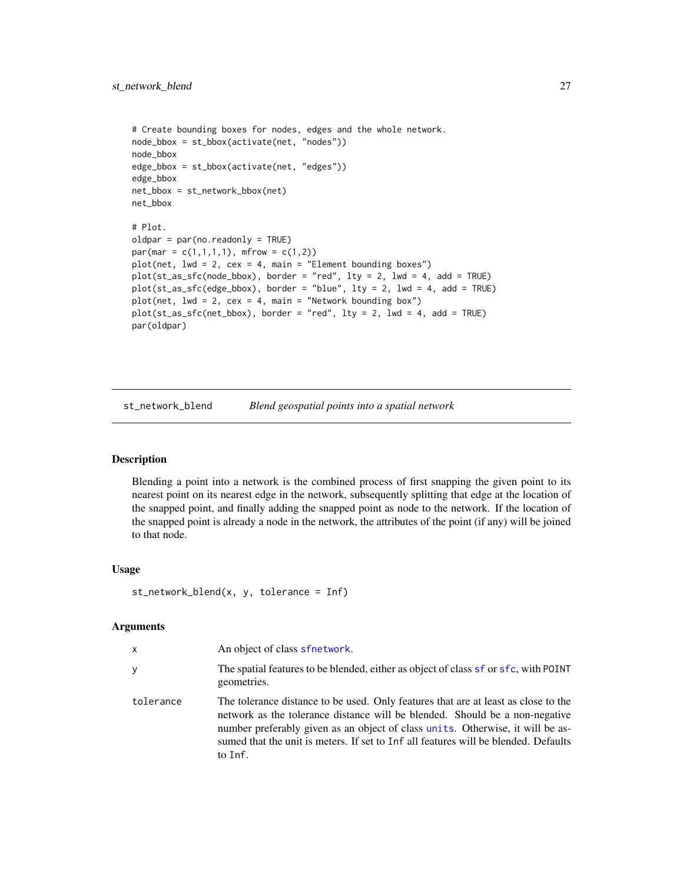```
# Create bounding boxes for nodes, edges and the whole network.
node_bbox = st_bbox(activate(net, "nodes"))
node_bbox
edge_bbox = st_bbox(activate(net, "edges"))
edge_bbox
net_bbox = st_network_bbox(net)
net_bbox
# Plot.
oldpar = par(no.readonly = TRUE)
par(max = c(1,1,1,1), mfrow = c(1,2))
plot(net, lwd = 2, cex = 4, main = "Element bounding boxes")plot(st_as_sfc(node_bbox), border = "red", lty = 2, lwd = 4, add = TRUE)
plot(st_as_sfc(edge_bbox), border = "blue", lty = 2, lwd = 4, add = TRUE)
plot(net, lwd = 2, cex = 4, main = "Network bounding box")plot(st_as_sfc(net_bbox), border = "red", lty = 2, lwd = 4, add = TRUE)
par(oldpar)
```
st\_network\_blend *Blend geospatial points into a spatial network*

#### **Description**

Blending a point into a network is the combined process of first snapping the given point to its nearest point on its nearest edge in the network, subsequently splitting that edge at the location of the snapped point, and finally adding the snapped point as node to the network. If the location of the snapped point is already a node in the network, the attributes of the point (if any) will be joined to that node.

#### Usage

```
st_{\text{network\_blend}(x, y, tolerance = Inf)
```
#### Arguments

| x         | An object of class sfnetwork.                                                                                                                                                                                                                                                                                                                         |
|-----------|-------------------------------------------------------------------------------------------------------------------------------------------------------------------------------------------------------------------------------------------------------------------------------------------------------------------------------------------------------|
| У         | The spatial features to be blended, either as object of class sf or sfc, with POINT<br>geometries.                                                                                                                                                                                                                                                    |
| tolerance | The tolerance distance to be used. Only features that are at least as close to the<br>network as the tolerance distance will be blended. Should be a non-negative<br>number preferably given as an object of class units. Otherwise, it will be as-<br>sumed that the unit is meters. If set to Inf all features will be blended. Defaults<br>to Inf. |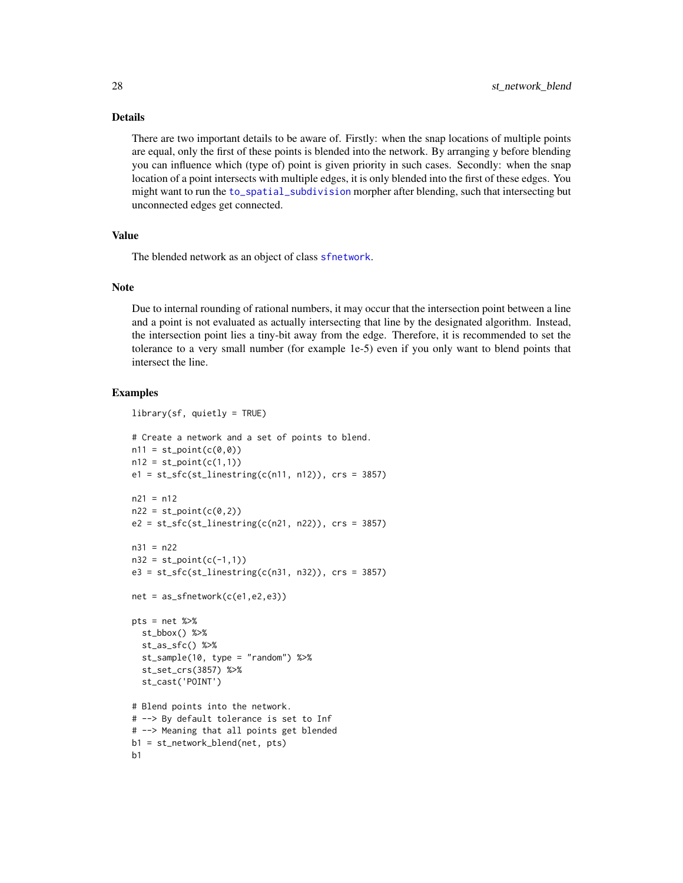#### <span id="page-27-0"></span>Details

There are two important details to be aware of. Firstly: when the snap locations of multiple points are equal, only the first of these points is blended into the network. By arranging y before blending you can influence which (type of) point is given priority in such cases. Secondly: when the snap location of a point intersects with multiple edges, it is only blended into the first of these edges. You might want to run the [to\\_spatial\\_subdivision](#page-19-1) morpher after blending, such that intersecting but unconnected edges get connected.

#### Value

The blended network as an object of class [sfnetwork](#page-12-1).

#### Note

Due to internal rounding of rational numbers, it may occur that the intersection point between a line and a point is not evaluated as actually intersecting that line by the designated algorithm. Instead, the intersection point lies a tiny-bit away from the edge. Therefore, it is recommended to set the tolerance to a very small number (for example 1e-5) even if you only want to blend points that intersect the line.

```
library(sf, quietly = TRUE)
# Create a network and a set of points to blend.
n11 = st\_point(c(0, 0))n12 = st\_point(c(1,1))e1 = st_sfc(st_linestring(c(n11, n12)), crs = 3857)n21 = n12n22 = st\_point(c(0,2))e2 = st_sfc(st_linestring(c(n21, n22)), crs = 3857)n31 = n22
n32 = st\_point(c(-1,1))e3 = st_sfc(st_linestring(c(n31, n32)), crs = 3857)net = as_sfnetwork(c(e1,e2,e3))
pts = net %>%
  st_bbox() %>%
  st_as_sfc() %>%
  st_sample(10, type = "random") %>%
  st_set_crs(3857) %>%
  st_cast('POINT')
# Blend points into the network.
# --> By default tolerance is set to Inf
# --> Meaning that all points get blended
b1 = st_network_blend(net, pts)
h<sub>1</sub>
```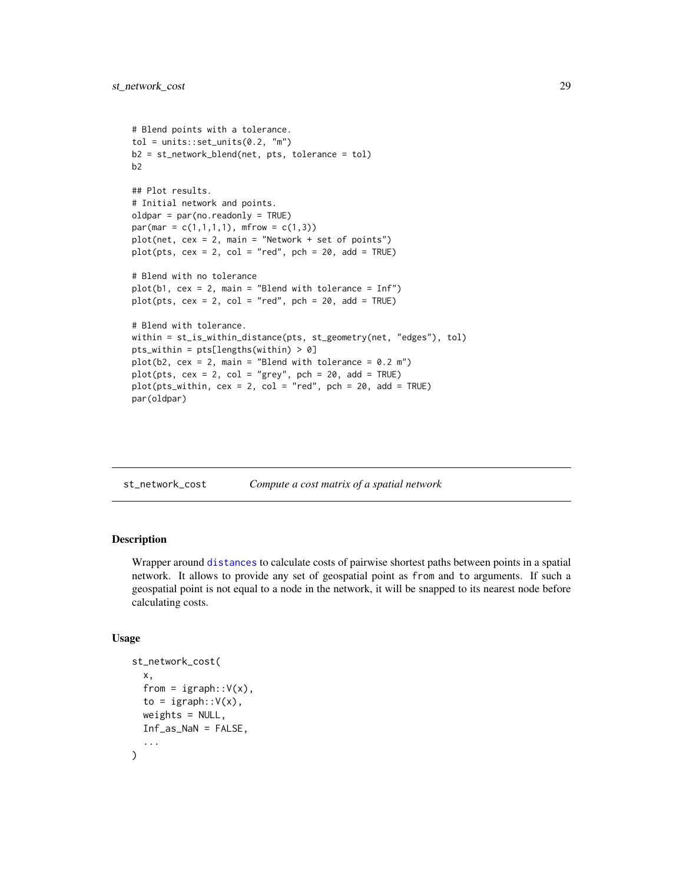```
# Blend points with a tolerance.
tol = units::set\_units(0.2, "m")b2 = st_network_blend(net, pts, tolerance = tol)
b2
## Plot results.
# Initial network and points.
oldpar = par(no.readonly = TRUE)
par(max = c(1,1,1,1), mfrow = c(1,3))
plot(net, cex = 2, main = "Network + set of points")
plot(pts, cex = 2, col = "red", pch = 20, add = TRUE)# Blend with no tolerance
plot(b1, cex = 2, main = "Blend with tolerance = Inf")plot(pts, cex = 2, col = "red", pch = 20, add = TRUE)
# Blend with tolerance.
within = st_is_within_distance(pts, st_geometry(net, "edges"), tol)
pts_within = pts[lengths(within) > 0]
plot(b2, cex = 2, main = "Blend with tolerance = 0.2 m")
plot(pts, cex = 2, col = "grey", pch = 20, add = TRUE)plot(pts_within, cex = 2, col = "red", pch = 20, add = TRUE)
par(oldpar)
```
<span id="page-28-1"></span>

| st_network_cost | Compute a cost matrix of a spatial network |  |  |
|-----------------|--------------------------------------------|--|--|
|-----------------|--------------------------------------------|--|--|

Wrapper around [distances](#page-0-0) to calculate costs of pairwise shortest paths between points in a spatial network. It allows to provide any set of geospatial point as from and to arguments. If such a geospatial point is not equal to a node in the network, it will be snapped to its nearest node before calculating costs.

#### Usage

```
st_network_cost(
  x,
  from = igraph::V(x),
  to = igraph::V(x),
 weights = NULL,Inf_as_NaN = FALSE,
  ...
)
```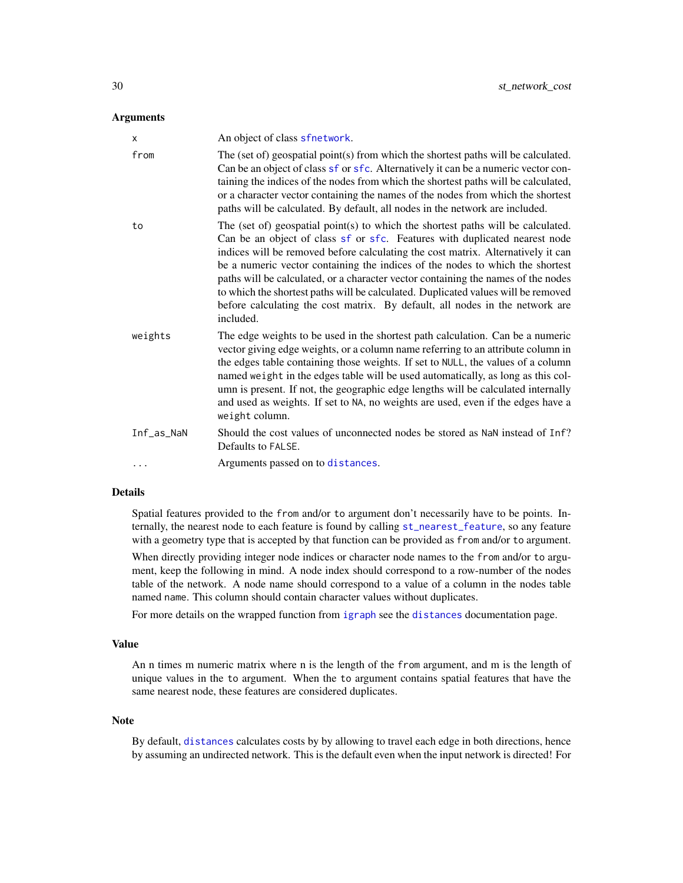#### <span id="page-29-0"></span>**Arguments**

| x          | An object of class sfnetwork.                                                                                                                                                                                                                                                                                                                                                                                                                                                                                                                                                                              |
|------------|------------------------------------------------------------------------------------------------------------------------------------------------------------------------------------------------------------------------------------------------------------------------------------------------------------------------------------------------------------------------------------------------------------------------------------------------------------------------------------------------------------------------------------------------------------------------------------------------------------|
| from       | The (set of) geospatial point(s) from which the shortest paths will be calculated.<br>Can be an object of class sf or sfc. Alternatively it can be a numeric vector con-<br>taining the indices of the nodes from which the shortest paths will be calculated,<br>or a character vector containing the names of the nodes from which the shortest<br>paths will be calculated. By default, all nodes in the network are included.                                                                                                                                                                          |
| to         | The (set of) geospatial point(s) to which the shortest paths will be calculated.<br>Can be an object of class sf or sfc. Features with duplicated nearest node<br>indices will be removed before calculating the cost matrix. Alternatively it can<br>be a numeric vector containing the indices of the nodes to which the shortest<br>paths will be calculated, or a character vector containing the names of the nodes<br>to which the shortest paths will be calculated. Duplicated values will be removed<br>before calculating the cost matrix. By default, all nodes in the network are<br>included. |
| weights    | The edge weights to be used in the shortest path calculation. Can be a numeric<br>vector giving edge weights, or a column name referring to an attribute column in<br>the edges table containing those weights. If set to NULL, the values of a column<br>named weight in the edges table will be used automatically, as long as this col-<br>umn is present. If not, the geographic edge lengths will be calculated internally<br>and used as weights. If set to NA, no weights are used, even if the edges have a<br>weight column.                                                                      |
| Inf_as_NaN | Should the cost values of unconnected nodes be stored as NaN instead of Inf?<br>Defaults to FALSE.                                                                                                                                                                                                                                                                                                                                                                                                                                                                                                         |
| .          | Arguments passed on to distances.                                                                                                                                                                                                                                                                                                                                                                                                                                                                                                                                                                          |

#### Details

Spatial features provided to the from and/or to argument don't necessarily have to be points. Internally, the nearest node to each feature is found by calling [st\\_nearest\\_feature](#page-0-0), so any feature with a geometry type that is accepted by that function can be provided as from and/or to argument.

When directly providing integer node indices or character node names to the from and/or to argument, keep the following in mind. A node index should correspond to a row-number of the nodes table of the network. A node name should correspond to a value of a column in the nodes table named name. This column should contain character values without duplicates.

For more details on the wrapped function from [igraph](#page-0-0) see the [distances](#page-0-0) documentation page.

#### Value

An n times m numeric matrix where n is the length of the from argument, and m is the length of unique values in the to argument. When the to argument contains spatial features that have the same nearest node, these features are considered duplicates.

#### Note

By default, [distances](#page-0-0) calculates costs by by allowing to travel each edge in both directions, hence by assuming an undirected network. This is the default even when the input network is directed! For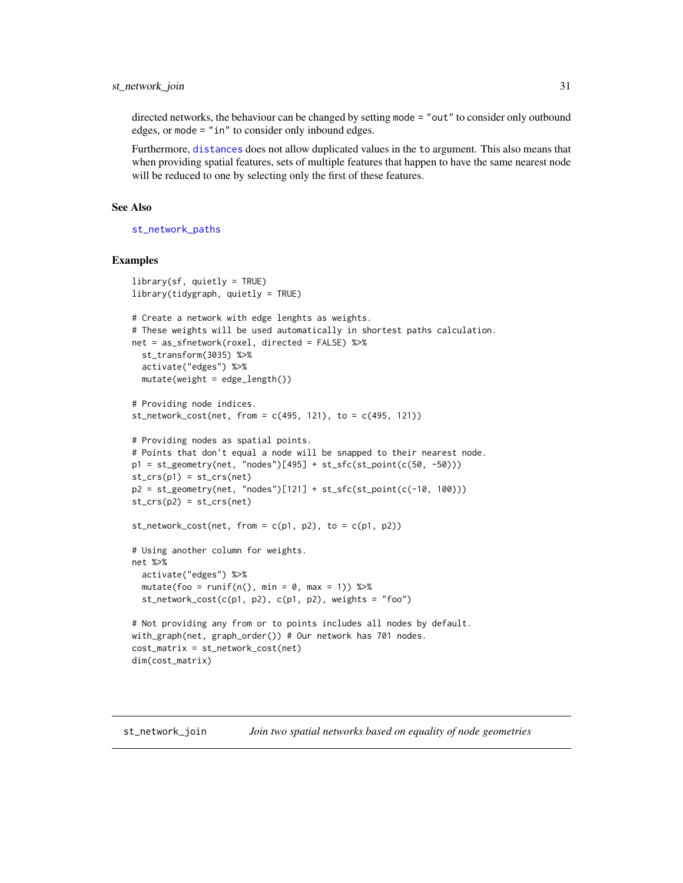#### <span id="page-30-0"></span>st\_network\_join 31

directed networks, the behaviour can be changed by setting mode = "out" to consider only outbound edges, or mode = "in" to consider only inbound edges.

Furthermore, [distances](#page-0-0) does not allow duplicated values in the to argument. This also means that when providing spatial features, sets of multiple features that happen to have the same nearest node will be reduced to one by selecting only the first of these features.

#### See Also

[st\\_network\\_paths](#page-32-1)

#### Examples

```
library(sf, quietly = TRUE)
library(tidygraph, quietly = TRUE)
# Create a network with edge lenghts as weights.
# These weights will be used automatically in shortest paths calculation.
net = as_sfnetwork(roxel, directed = FALSE) %>%
 st_transform(3035) %>%
 activate("edges") %>%
 mutate(weight = edge_length())# Providing node indices.
st\_network\_cost(net, from = c(495, 121), to = c(495, 121))# Providing nodes as spatial points.
# Points that don't equal a node will be snapped to their nearest node.
p1 = st\_geometry(net, 'nodes')[495] + st_sfc(st\_point(c(50, -50)))st\_crs(p1) = st\_crs(net)p2 = st\_geometry(net, 'nodes')[121] + st_sfc(st\_point(c(-10, 100)))st\_crs(p2) = st\_crs(net)st\_network\_cost(net, from = c(p1, p2), to = c(p1, p2))# Using another column for weights.
net %>%
 activate("edges") %>%
 mutate(foo = runif(n(), min = 0, max = 1)) %>%
 st_network_cost(c(p1, p2), c(p1, p2), weights = "foo")
# Not providing any from or to points includes all nodes by default.
with_graph(net, graph_order()) # Our network has 701 nodes.
cost_matrix = st_network_cost(net)
dim(cost_matrix)
```
st\_network\_join *Join two spatial networks based on equality of node geometries*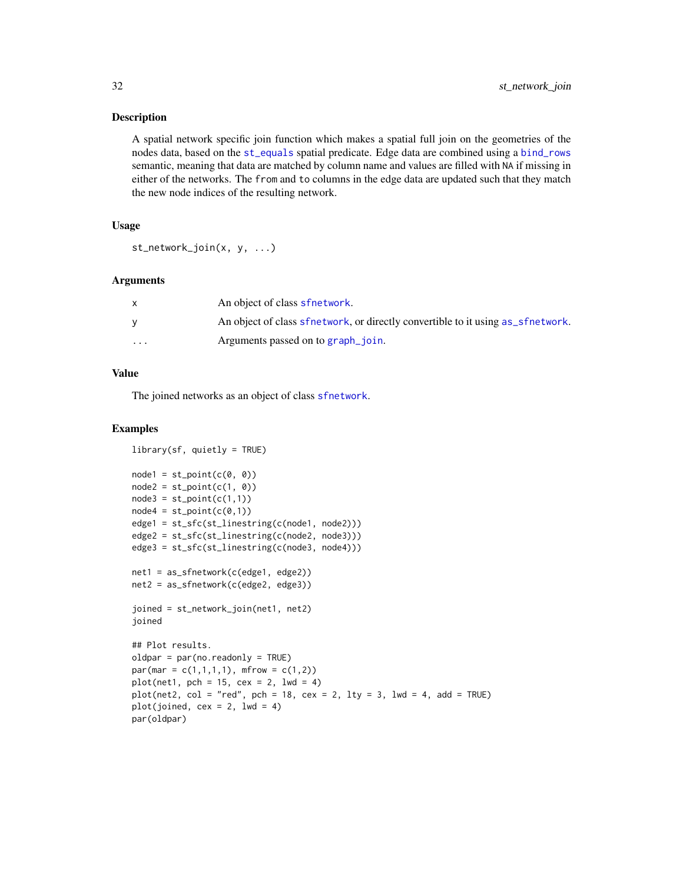<span id="page-31-0"></span>A spatial network specific join function which makes a spatial full join on the geometries of the nodes data, based on the [st\\_equals](#page-0-0) spatial predicate. Edge data are combined using a [bind\\_rows](#page-0-0) semantic, meaning that data are matched by column name and values are filled with NA if missing in either of the networks. The from and to columns in the edge data are updated such that they match the new node indices of the resulting network.

#### Usage

st\_network\_join(x, y, ...)

#### Arguments

|         | An object of class sfnetwork.                                                   |
|---------|---------------------------------------------------------------------------------|
|         | An object of class sfretwork, or directly convertible to it using as sfretwork. |
| $\cdot$ | Arguments passed on to graph_join.                                              |

#### Value

The joined networks as an object of class [sfnetwork](#page-12-1).

```
library(sf, quietly = TRUE)node1 = st\_point(c(0, 0))node2 = st\_point(c(1, 0))node3 = st\_point(c(1,1))node4 = st\_point(c(0,1))edge1 = st_sfc(st_linestring(c(node1, node2)))
edge2 = st_sfc(st_linestring(c(node2, node3)))
edge3 = st_sfc(st_linestring(c(node3, node4)))
net1 = as_sfnetwork(c(edge1, edge2))
net2 = as_sfnetwork(c(edge2, edge3))
joined = st_network_join(net1, net2)
joined
## Plot results.
oldpar = par(no.readonly = TRUE)
par(max = c(1,1,1,1), mfrow = c(1,2))
plot(net1, pch = 15, cex = 2, lwd = 4)
plot(net2, col = "red", pch = 18, cex = 2, lty = 3, lwd = 4, add = TRUE)plot(joined, cex = 2, 1wd = 4)
par(oldpar)
```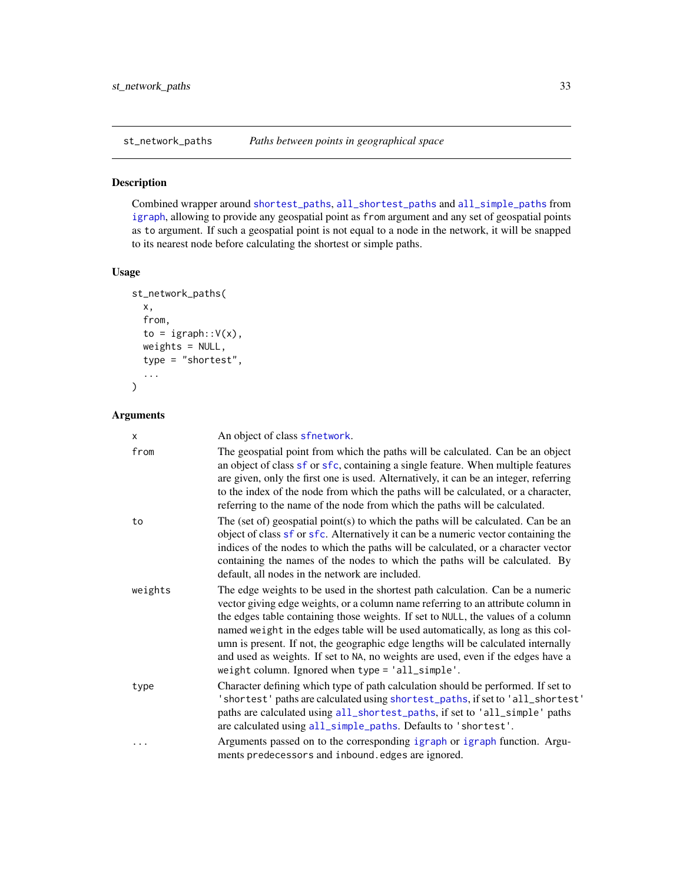<span id="page-32-1"></span><span id="page-32-0"></span>

Combined wrapper around [shortest\\_paths](#page-0-0), [all\\_shortest\\_paths](#page-0-0) and [all\\_simple\\_paths](#page-0-0) from [igraph](#page-0-0), allowing to provide any geospatial point as from argument and any set of geospatial points as to argument. If such a geospatial point is not equal to a node in the network, it will be snapped to its nearest node before calculating the shortest or simple paths.

#### Usage

```
st_network_paths(
 x,
  from,
 to = igraph::V(x),
 weights = NULL,
 type = "shortest",
  ...
)
```
#### Arguments

| X       | An object of class sfnetwork.                                                                                                                                                                                                                                                                                                                                                                                                                                                                                                                                           |
|---------|-------------------------------------------------------------------------------------------------------------------------------------------------------------------------------------------------------------------------------------------------------------------------------------------------------------------------------------------------------------------------------------------------------------------------------------------------------------------------------------------------------------------------------------------------------------------------|
| from    | The geospatial point from which the paths will be calculated. Can be an object<br>an object of class sf or sfc, containing a single feature. When multiple features<br>are given, only the first one is used. Alternatively, it can be an integer, referring<br>to the index of the node from which the paths will be calculated, or a character,<br>referring to the name of the node from which the paths will be calculated.                                                                                                                                         |
| to      | The (set of) geospatial point(s) to which the paths will be calculated. Can be an<br>object of class sf or sfc. Alternatively it can be a numeric vector containing the<br>indices of the nodes to which the paths will be calculated, or a character vector<br>containing the names of the nodes to which the paths will be calculated. By<br>default, all nodes in the network are included.                                                                                                                                                                          |
| weights | The edge weights to be used in the shortest path calculation. Can be a numeric<br>vector giving edge weights, or a column name referring to an attribute column in<br>the edges table containing those weights. If set to NULL, the values of a column<br>named weight in the edges table will be used automatically, as long as this col-<br>umn is present. If not, the geographic edge lengths will be calculated internally<br>and used as weights. If set to NA, no weights are used, even if the edges have a<br>weight column. Ignored when type = 'all_simple'. |
| type    | Character defining which type of path calculation should be performed. If set to<br>'shortest' paths are calculated using shortest_paths, if set to 'all_shortest'<br>paths are calculated using all_shortest_paths, if set to 'all_simple' paths<br>are calculated using all_simple_paths. Defaults to 'shortest'.                                                                                                                                                                                                                                                     |
| .       | Arguments passed on to the corresponding igraph or igraph function. Argu-<br>ments predecessors and inbound. edges are ignored.                                                                                                                                                                                                                                                                                                                                                                                                                                         |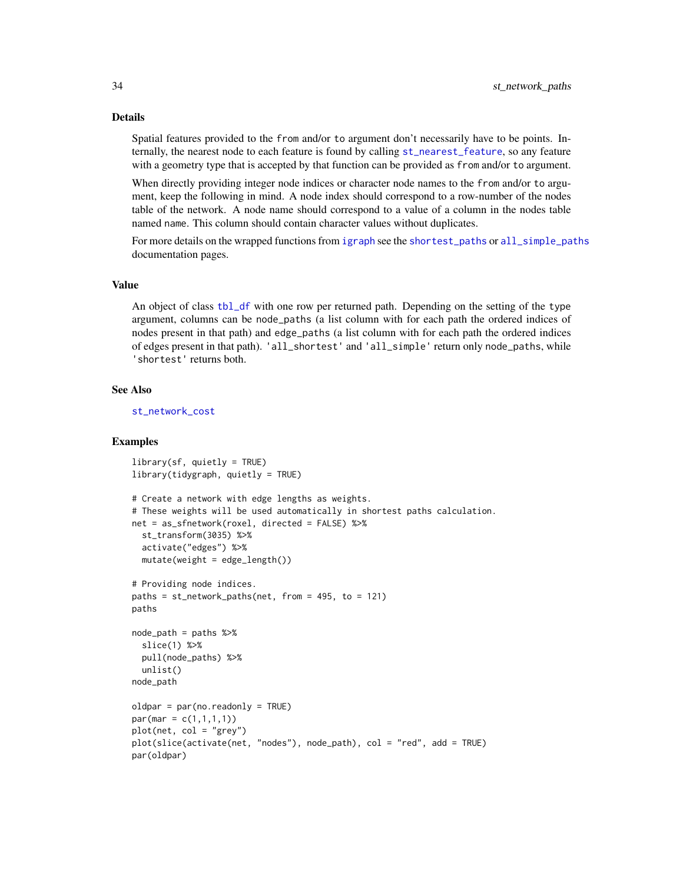#### Details

Spatial features provided to the from and/or to argument don't necessarily have to be points. Internally, the nearest node to each feature is found by calling [st\\_nearest\\_feature](#page-0-0), so any feature with a geometry type that is accepted by that function can be provided as from and/or to argument.

When directly providing integer node indices or character node names to the from and/or to argument, keep the following in mind. A node index should correspond to a row-number of the nodes table of the network. A node name should correspond to a value of a column in the nodes table named name. This column should contain character values without duplicates.

For more details on the wrapped functions from [igraph](#page-0-0) see the [shortest\\_paths](#page-0-0) or [all\\_simple\\_paths](#page-0-0) documentation pages.

#### Value

An object of class [tbl\\_df](#page-0-0) with one row per returned path. Depending on the setting of the type argument, columns can be node\_paths (a list column with for each path the ordered indices of nodes present in that path) and edge\_paths (a list column with for each path the ordered indices of edges present in that path). 'all\_shortest' and 'all\_simple' return only node\_paths, while 'shortest' returns both.

#### See Also

[st\\_network\\_cost](#page-28-1)

```
\text{library}(sf, \text{ quietly} = \text{TRUE})library(tidygraph, quietly = TRUE)
# Create a network with edge lengths as weights.
# These weights will be used automatically in shortest paths calculation.
net = as_sfnetwork(roxel, directed = FALSE) %>%
  st_transform(3035) %>%
  activate("edges") %>%
  mutate(weight = edge_length())# Providing node indices.
paths = st_{\text{network}_\text{paths}(net, from = 495, to = 121)paths
node_path = paths %>%
  slice(1) %>%
  pull(node_paths) %>%
  unlist()
node_path
oldpar = par(no.readonly = TRUE)par(max = c(1,1,1,1))plot(net, col = "grey")
plot(slice(activate(net, "nodes"), node_path), col = "red", add = TRUE)
par(oldpar)
```
<span id="page-33-0"></span>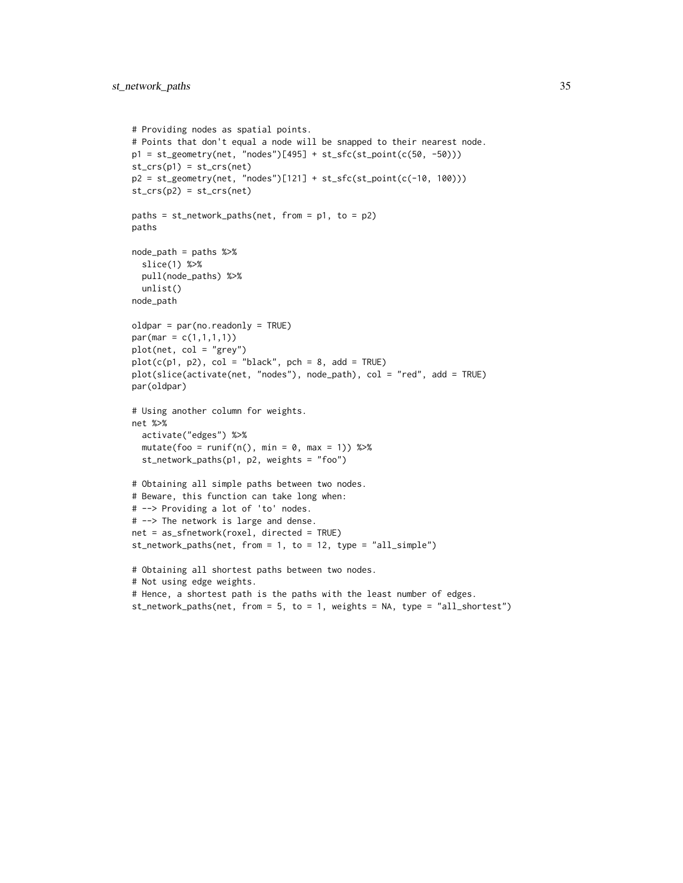```
# Providing nodes as spatial points.
# Points that don't equal a node will be snapped to their nearest node.
p1 = st\_geometry(net, 'nodes')[495] + st_sfc(st_point(c(50, -50)))st\_crs(p1) = st\_crs(net)p2 = st\_geometry(net, "nodes")[121] + st_sfc(st\_point(c(-10, 100)))st\_crs(p2) = st\_crs(net)paths = st_{\text{network}_\text{paths}(net, from = p1, to = p2)paths
node_path = paths %>%
  slice(1) %>%
  pull(node_paths) %>%
  unlist()
node_path
oldpar = par(no.readonly = TRUE)
par(max = c(1,1,1,1))plot(net, col = "grey")
plot(c(p1, p2), col = "black", pch = 8, add = TRUE)plot(slice(activate(net, "nodes"), node_path), col = "red", add = TRUE)
par(oldpar)
# Using another column for weights.
net %>%
  activate("edges") %>%
  mutate(foo = runif(n(), min = 0, max = 1)) %st_network_paths(p1, p2, weights = "foo")
# Obtaining all simple paths between two nodes.
# Beware, this function can take long when:
# --> Providing a lot of 'to' nodes.
# --> The network is large and dense.
net = as_sfnetwork(roxel, directed = TRUE)
st_network_paths(net, from = 1, to = 12, type = "all_simple")
# Obtaining all shortest paths between two nodes.
# Not using edge weights.
# Hence, a shortest path is the paths with the least number of edges.
st_network_paths(net, from = 5, to = 1, weights = NA, type = "all_shortest")
```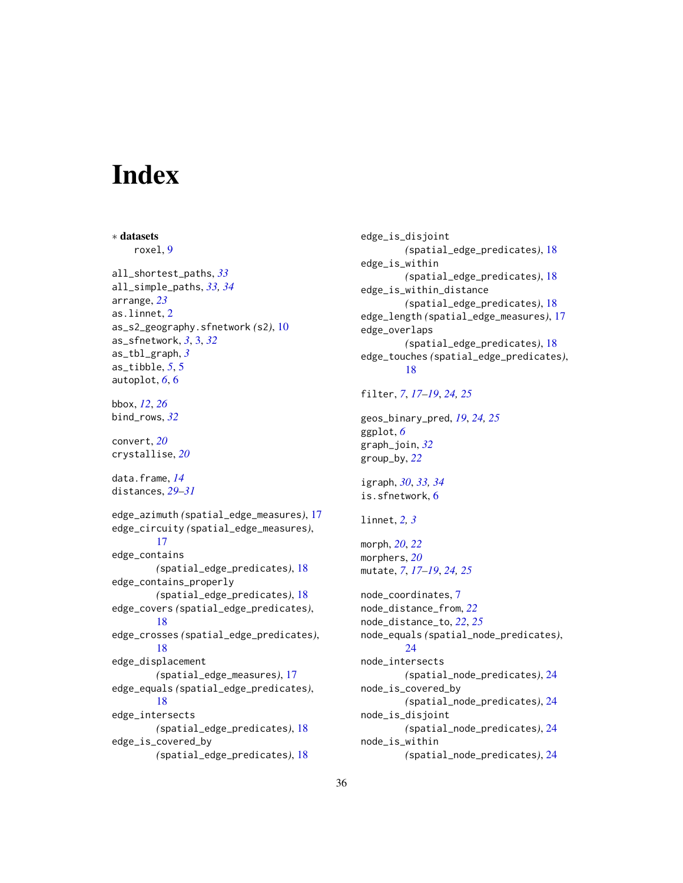# <span id="page-35-0"></span>**Index**

∗ datasets roxel, [9](#page-8-0) all\_shortest\_paths, *[33](#page-32-0)* all\_simple\_paths, *[33,](#page-32-0) [34](#page-33-0)* arrange, *[23](#page-22-0)* as.linnet, [2](#page-1-0) as\_s2\_geography.sfnetwork *(*s2*)*, [10](#page-9-0) as\_sfnetwork, *[3](#page-2-0)*, [3,](#page-2-0) *[32](#page-31-0)* as\_tbl\_graph, *[3](#page-2-0)* as\_tibble, *[5](#page-4-0)*, [5](#page-4-0) autoplot, *[6](#page-5-0)*, [6](#page-5-0) bbox, *[12](#page-11-0)*, *[26](#page-25-0)* bind\_rows, *[32](#page-31-0)* convert, *[20](#page-19-0)* crystallise, *[20](#page-19-0)* data.frame, *[14](#page-13-0)* distances, *[29](#page-28-0)[–31](#page-30-0)* edge\_azimuth *(*spatial\_edge\_measures*)*, [17](#page-16-0) edge\_circuity *(*spatial\_edge\_measures*)*, [17](#page-16-0) edge\_contains *(*spatial\_edge\_predicates*)*, [18](#page-17-0) edge\_contains\_properly *(*spatial\_edge\_predicates*)*, [18](#page-17-0) edge\_covers *(*spatial\_edge\_predicates*)*, [18](#page-17-0) edge\_crosses *(*spatial\_edge\_predicates*)*, [18](#page-17-0) edge\_displacement *(*spatial\_edge\_measures*)*, [17](#page-16-0) edge\_equals *(*spatial\_edge\_predicates*)*, [18](#page-17-0) edge\_intersects *(*spatial\_edge\_predicates*)*, [18](#page-17-0) edge\_is\_covered\_by *(*spatial\_edge\_predicates*)*, [18](#page-17-0)

edge\_is\_disjoint *(*spatial\_edge\_predicates*)*, [18](#page-17-0) edge\_is\_within *(*spatial\_edge\_predicates*)*, [18](#page-17-0) edge\_is\_within\_distance *(*spatial\_edge\_predicates*)*, [18](#page-17-0) edge\_length *(*spatial\_edge\_measures*)*, [17](#page-16-0) edge\_overlaps *(*spatial\_edge\_predicates*)*, [18](#page-17-0) edge\_touches *(*spatial\_edge\_predicates*)*, [18](#page-17-0) filter, *[7](#page-6-0)*, *[17](#page-16-0)[–19](#page-18-0)*, *[24,](#page-23-0) [25](#page-24-0)* geos\_binary\_pred, *[19](#page-18-0)*, *[24,](#page-23-0) [25](#page-24-0)* ggplot, *[6](#page-5-0)* graph\_join, *[32](#page-31-0)* group\_by, *[22](#page-21-0)* igraph, *[30](#page-29-0)*, *[33,](#page-32-0) [34](#page-33-0)* is.sfnetwork, [6](#page-5-0) linnet, *[2,](#page-1-0) [3](#page-2-0)* morph, *[20](#page-19-0)*, *[22](#page-21-0)* morphers, *[20](#page-19-0)* mutate, *[7](#page-6-0)*, *[17](#page-16-0)[–19](#page-18-0)*, *[24,](#page-23-0) [25](#page-24-0)* node\_coordinates, [7](#page-6-0) node\_distance\_from, *[22](#page-21-0)* node\_distance\_to, *[22](#page-21-0)*, *[25](#page-24-0)* node\_equals *(*spatial\_node\_predicates*)*, [24](#page-23-0) node\_intersects *(*spatial\_node\_predicates*)*, [24](#page-23-0) node\_is\_covered\_by *(*spatial\_node\_predicates*)*, [24](#page-23-0) node\_is\_disjoint *(*spatial\_node\_predicates*)*, [24](#page-23-0) node\_is\_within *(*spatial\_node\_predicates*)*, [24](#page-23-0)